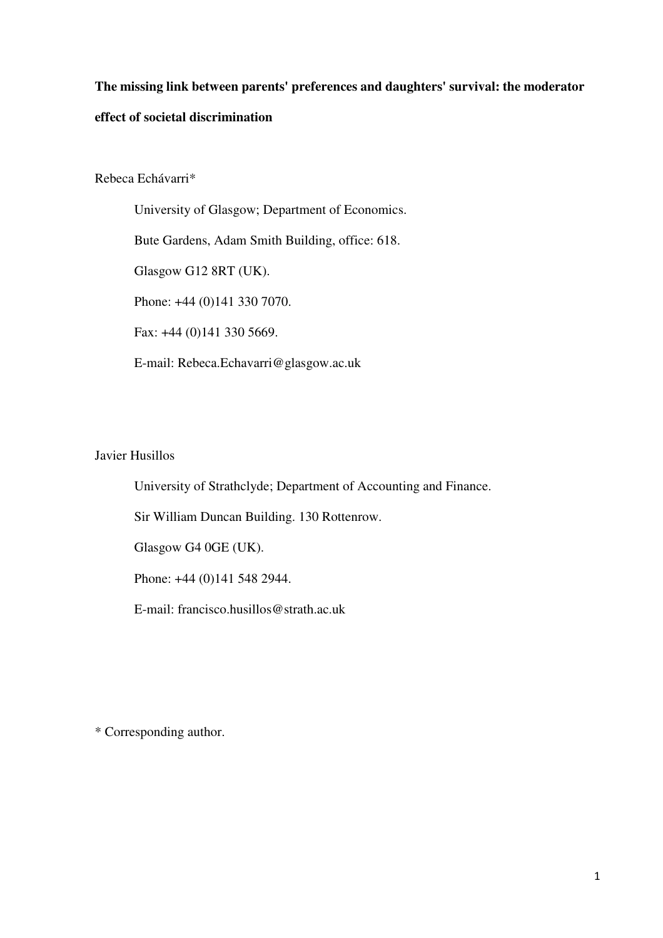# **The missing link between parents' preferences and daughters' survival: the moderator effect of societal discrimination**

Rebeca Echávarri\*

University of Glasgow; Department of Economics. Bute Gardens, Adam Smith Building, office: 618. Glasgow G12 8RT (UK). Phone: +44 (0)141 330 7070. Fax: +44 (0)141 330 5669. E-mail: Rebeca.Echavarri@glasgow.ac.uk

# Javier Husillos

University of Strathclyde; Department of Accounting and Finance.

Sir William Duncan Building. 130 Rottenrow.

Glasgow G4 0GE (UK).

Phone: +44 (0)141 548 2944.

E-mail: francisco.husillos@strath.ac.uk

\* Corresponding author.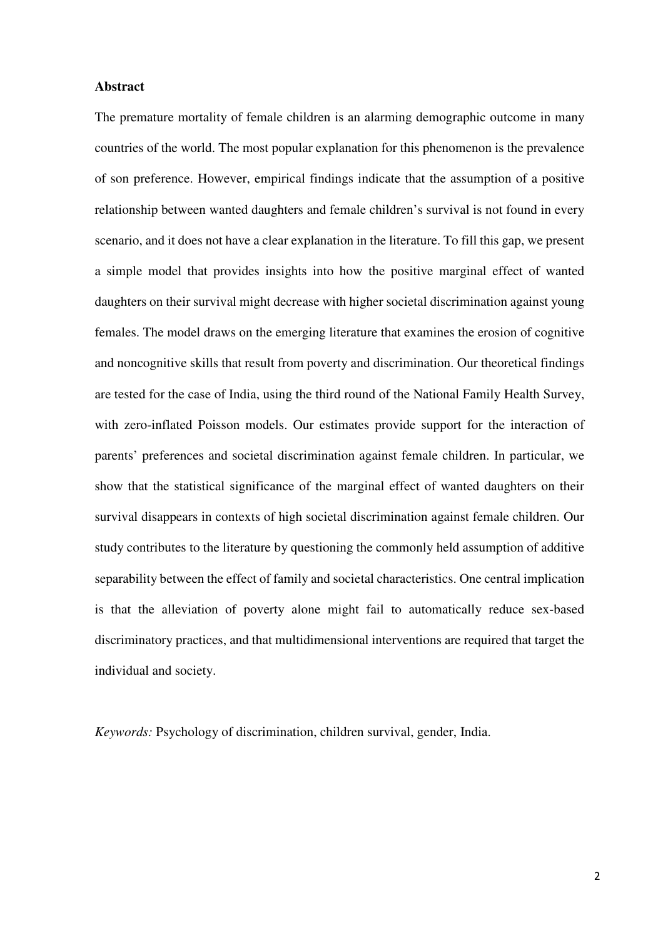#### **Abstract**

The premature mortality of female children is an alarming demographic outcome in many countries of the world. The most popular explanation for this phenomenon is the prevalence of son preference. However, empirical findings indicate that the assumption of a positive relationship between wanted daughters and female children's survival is not found in every scenario, and it does not have a clear explanation in the literature. To fill this gap, we present a simple model that provides insights into how the positive marginal effect of wanted daughters on their survival might decrease with higher societal discrimination against young females. The model draws on the emerging literature that examines the erosion of cognitive and noncognitive skills that result from poverty and discrimination. Our theoretical findings are tested for the case of India, using the third round of the National Family Health Survey, with zero-inflated Poisson models. Our estimates provide support for the interaction of parents' preferences and societal discrimination against female children. In particular, we show that the statistical significance of the marginal effect of wanted daughters on their survival disappears in contexts of high societal discrimination against female children. Our study contributes to the literature by questioning the commonly held assumption of additive separability between the effect of family and societal characteristics. One central implication is that the alleviation of poverty alone might fail to automatically reduce sex-based discriminatory practices, and that multidimensional interventions are required that target the individual and society.

*Keywords:* Psychology of discrimination, children survival, gender, India.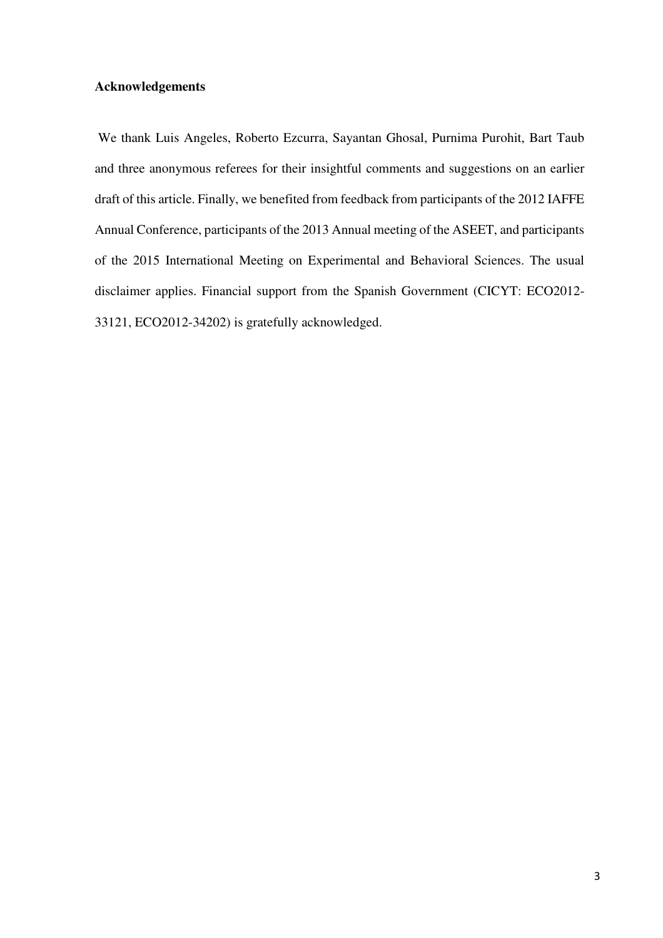# **Acknowledgements**

 We thank Luis Angeles, Roberto Ezcurra, Sayantan Ghosal, Purnima Purohit, Bart Taub and three anonymous referees for their insightful comments and suggestions on an earlier draft of this article. Finally, we benefited from feedback from participants of the 2012 IAFFE Annual Conference, participants of the 2013 Annual meeting of the ASEET, and participants of the 2015 International Meeting on Experimental and Behavioral Sciences. The usual disclaimer applies. Financial support from the Spanish Government (CICYT: ECO2012- 33121, ECO2012-34202) is gratefully acknowledged.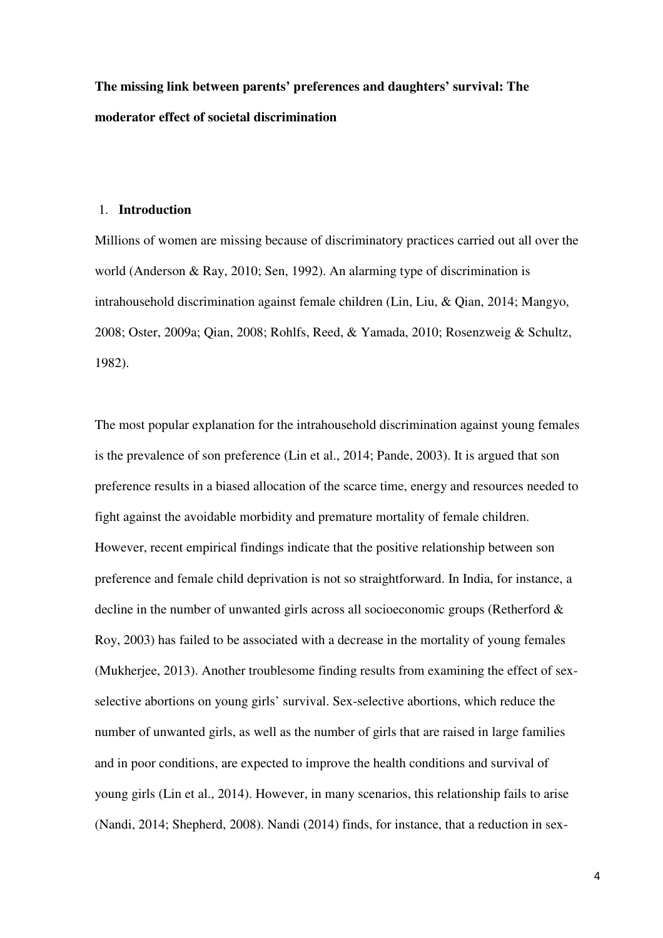**The missing link between parents' preferences and daughters' survival: The moderator effect of societal discrimination** 

#### 1. **Introduction**

Millions of women are missing because of discriminatory practices carried out all over the world (Anderson & Ray, 2010; Sen, 1992). An alarming type of discrimination is intrahousehold discrimination against female children (Lin, Liu, & Qian, 2014; Mangyo, 2008; Oster, 2009a; Qian, 2008; Rohlfs, Reed, & Yamada, 2010; Rosenzweig & Schultz, 1982).

The most popular explanation for the intrahousehold discrimination against young females is the prevalence of son preference (Lin et al., 2014; Pande, 2003). It is argued that son preference results in a biased allocation of the scarce time, energy and resources needed to fight against the avoidable morbidity and premature mortality of female children. However, recent empirical findings indicate that the positive relationship between son preference and female child deprivation is not so straightforward. In India, for instance, a decline in the number of unwanted girls across all socioeconomic groups (Retherford & Roy, 2003) has failed to be associated with a decrease in the mortality of young females (Mukherjee, 2013). Another troublesome finding results from examining the effect of sexselective abortions on young girls' survival. Sex-selective abortions, which reduce the number of unwanted girls, as well as the number of girls that are raised in large families and in poor conditions, are expected to improve the health conditions and survival of young girls (Lin et al., 2014). However, in many scenarios, this relationship fails to arise (Nandi, 2014; Shepherd, 2008). Nandi (2014) finds, for instance, that a reduction in sex-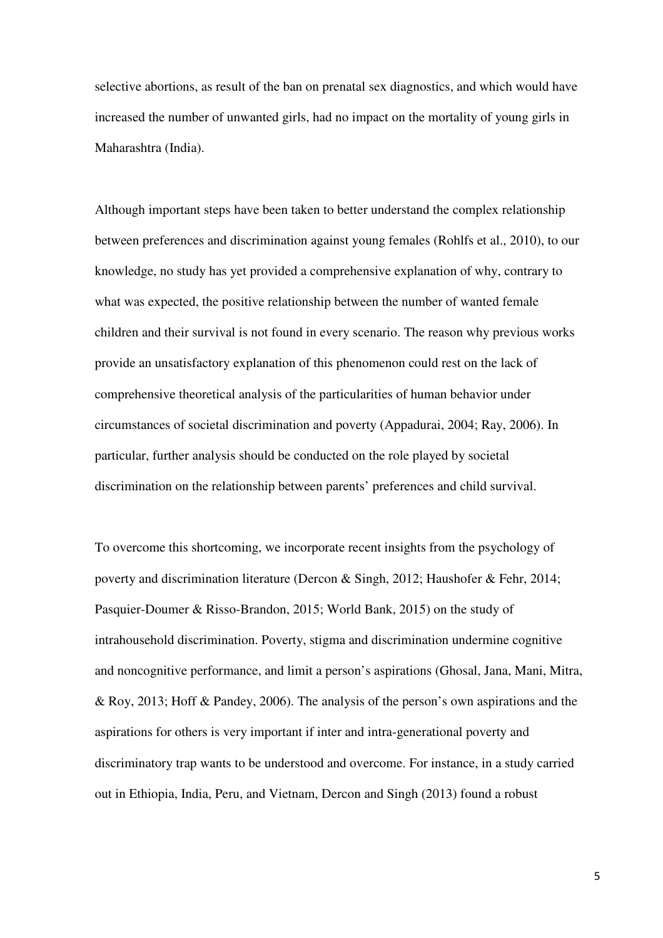selective abortions, as result of the ban on prenatal sex diagnostics, and which would have increased the number of unwanted girls, had no impact on the mortality of young girls in Maharashtra (India).

Although important steps have been taken to better understand the complex relationship between preferences and discrimination against young females (Rohlfs et al., 2010), to our knowledge, no study has yet provided a comprehensive explanation of why, contrary to what was expected, the positive relationship between the number of wanted female children and their survival is not found in every scenario. The reason why previous works provide an unsatisfactory explanation of this phenomenon could rest on the lack of comprehensive theoretical analysis of the particularities of human behavior under circumstances of societal discrimination and poverty (Appadurai, 2004; Ray, 2006). In particular, further analysis should be conducted on the role played by societal discrimination on the relationship between parents' preferences and child survival.

To overcome this shortcoming, we incorporate recent insights from the psychology of poverty and discrimination literature (Dercon & Singh, 2012; Haushofer & Fehr, 2014; Pasquier-Doumer & Risso-Brandon, 2015; World Bank, 2015) on the study of intrahousehold discrimination. Poverty, stigma and discrimination undermine cognitive and noncognitive performance, and limit a person's aspirations (Ghosal, Jana, Mani, Mitra, & Roy, 2013; Hoff & Pandey, 2006). The analysis of the person's own aspirations and the aspirations for others is very important if inter and intra-generational poverty and discriminatory trap wants to be understood and overcome. For instance, in a study carried out in Ethiopia, India, Peru, and Vietnam, Dercon and Singh (2013) found a robust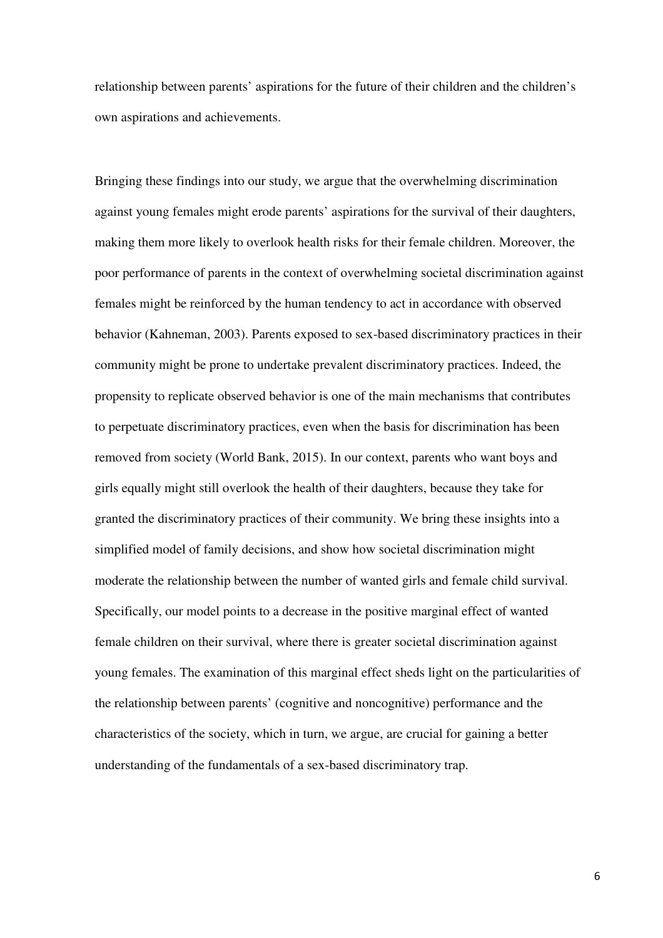relationship between parents' aspirations for the future of their children and the children's own aspirations and achievements.

Bringing these findings into our study, we argue that the overwhelming discrimination against young females might erode parents' aspirations for the survival of their daughters, making them more likely to overlook health risks for their female children. Moreover, the poor performance of parents in the context of overwhelming societal discrimination against females might be reinforced by the human tendency to act in accordance with observed behavior (Kahneman, 2003). Parents exposed to sex-based discriminatory practices in their community might be prone to undertake prevalent discriminatory practices. Indeed, the propensity to replicate observed behavior is one of the main mechanisms that contributes to perpetuate discriminatory practices, even when the basis for discrimination has been removed from society (World Bank, 2015). In our context, parents who want boys and girls equally might still overlook the health of their daughters, because they take for granted the discriminatory practices of their community. We bring these insights into a simplified model of family decisions, and show how societal discrimination might moderate the relationship between the number of wanted girls and female child survival. Specifically, our model points to a decrease in the positive marginal effect of wanted female children on their survival, where there is greater societal discrimination against young females. The examination of this marginal effect sheds light on the particularities of the relationship between parents' (cognitive and noncognitive) performance and the characteristics of the society, which in turn, we argue, are crucial for gaining a better understanding of the fundamentals of a sex-based discriminatory trap.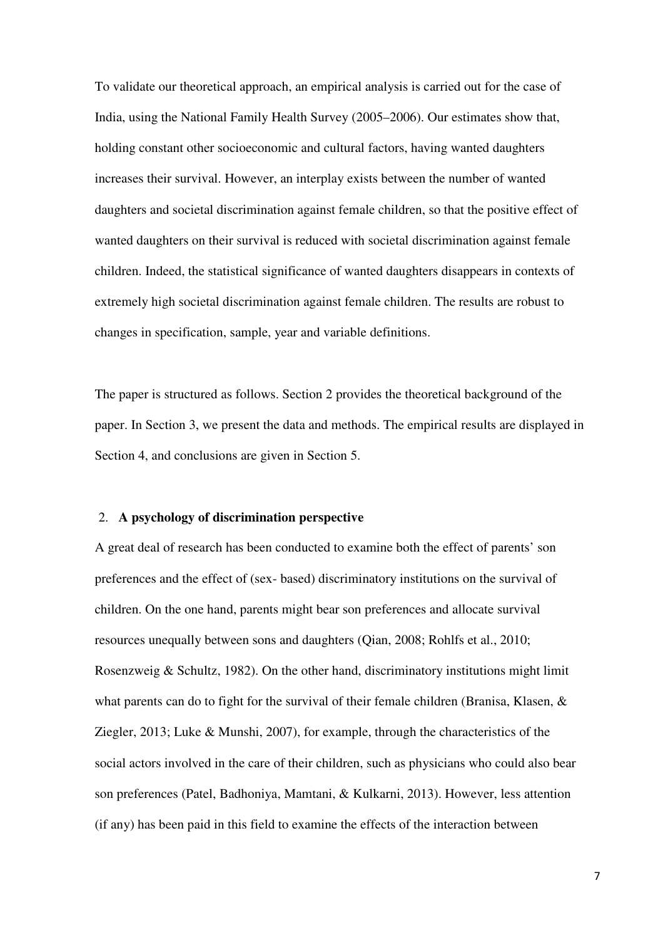To validate our theoretical approach, an empirical analysis is carried out for the case of India, using the National Family Health Survey (2005–2006). Our estimates show that, holding constant other socioeconomic and cultural factors, having wanted daughters increases their survival. However, an interplay exists between the number of wanted daughters and societal discrimination against female children, so that the positive effect of wanted daughters on their survival is reduced with societal discrimination against female children. Indeed, the statistical significance of wanted daughters disappears in contexts of extremely high societal discrimination against female children. The results are robust to changes in specification, sample, year and variable definitions.

The paper is structured as follows. Section 2 provides the theoretical background of the paper. In Section 3, we present the data and methods. The empirical results are displayed in Section 4, and conclusions are given in Section 5.

## 2. **A psychology of discrimination perspective**

A great deal of research has been conducted to examine both the effect of parents' son preferences and the effect of (sex- based) discriminatory institutions on the survival of children. On the one hand, parents might bear son preferences and allocate survival resources unequally between sons and daughters (Qian, 2008; Rohlfs et al., 2010; Rosenzweig & Schultz, 1982). On the other hand, discriminatory institutions might limit what parents can do to fight for the survival of their female children (Branisa, Klasen, & Ziegler, 2013; Luke & Munshi, 2007), for example, through the characteristics of the social actors involved in the care of their children, such as physicians who could also bear son preferences (Patel, Badhoniya, Mamtani, & Kulkarni, 2013). However, less attention (if any) has been paid in this field to examine the effects of the interaction between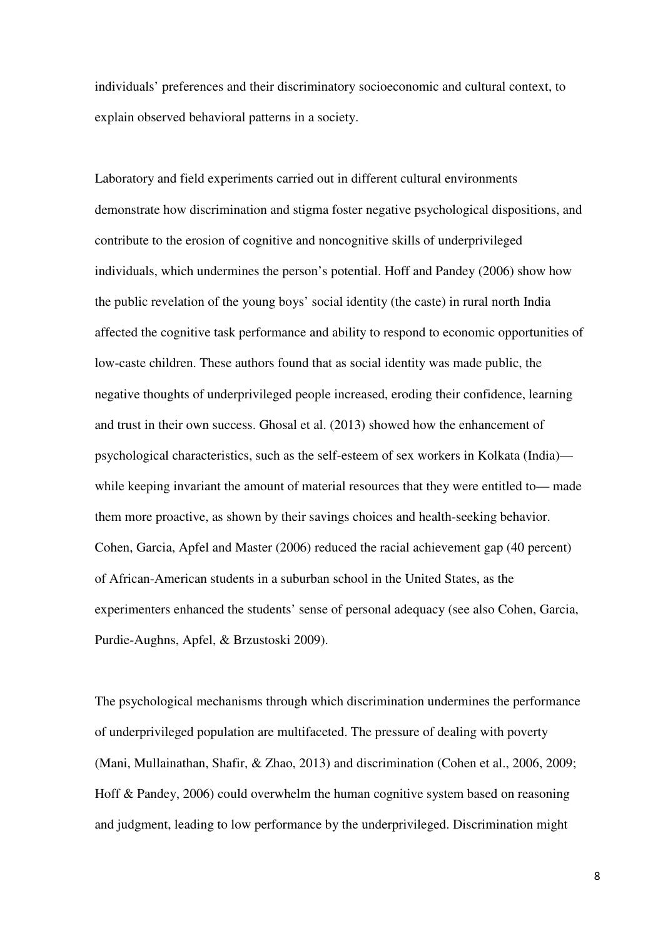individuals' preferences and their discriminatory socioeconomic and cultural context, to explain observed behavioral patterns in a society.

Laboratory and field experiments carried out in different cultural environments demonstrate how discrimination and stigma foster negative psychological dispositions, and contribute to the erosion of cognitive and noncognitive skills of underprivileged individuals, which undermines the person's potential. Hoff and Pandey (2006) show how the public revelation of the young boys' social identity (the caste) in rural north India affected the cognitive task performance and ability to respond to economic opportunities of low-caste children. These authors found that as social identity was made public, the negative thoughts of underprivileged people increased, eroding their confidence, learning and trust in their own success. Ghosal et al. (2013) showed how the enhancement of psychological characteristics, such as the self-esteem of sex workers in Kolkata (India) while keeping invariant the amount of material resources that they were entitled to— made them more proactive, as shown by their savings choices and health-seeking behavior. Cohen, Garcia, Apfel and Master (2006) reduced the racial achievement gap (40 percent) of African-American students in a suburban school in the United States, as the experimenters enhanced the students' sense of personal adequacy (see also Cohen, Garcia, Purdie-Aughns, Apfel, & Brzustoski 2009).

The psychological mechanisms through which discrimination undermines the performance of underprivileged population are multifaceted. The pressure of dealing with poverty (Mani, Mullainathan, Shafir, & Zhao, 2013) and discrimination (Cohen et al., 2006, 2009; Hoff & Pandey, 2006) could overwhelm the human cognitive system based on reasoning and judgment, leading to low performance by the underprivileged. Discrimination might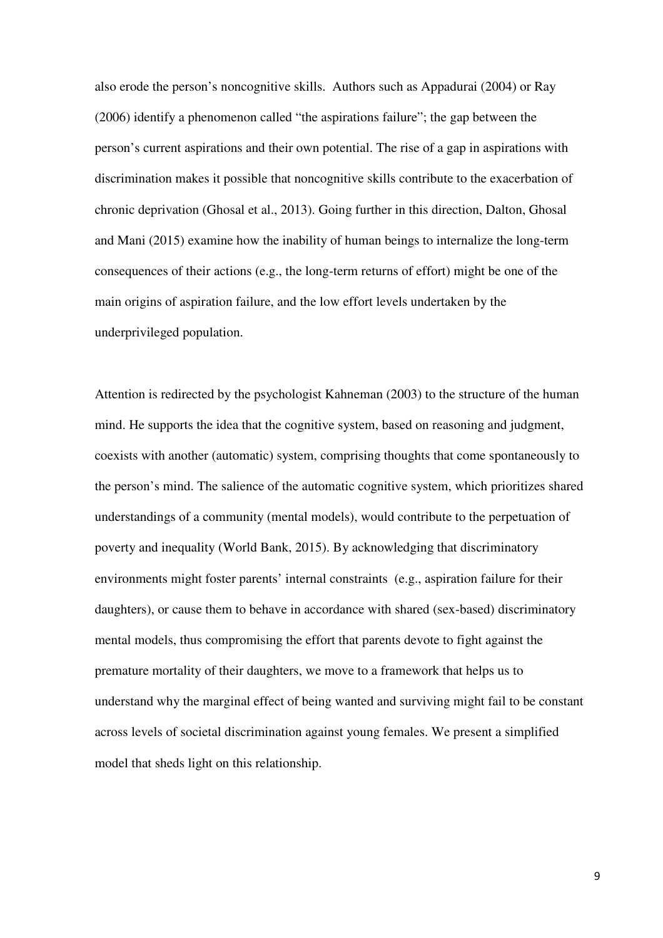also erode the person's noncognitive skills. Authors such as Appadurai (2004) or Ray (2006) identify a phenomenon called "the aspirations failure"; the gap between the person's current aspirations and their own potential. The rise of a gap in aspirations with discrimination makes it possible that noncognitive skills contribute to the exacerbation of chronic deprivation (Ghosal et al., 2013). Going further in this direction, Dalton, Ghosal and Mani (2015) examine how the inability of human beings to internalize the long-term consequences of their actions (e.g., the long-term returns of effort) might be one of the main origins of aspiration failure, and the low effort levels undertaken by the underprivileged population.

Attention is redirected by the psychologist Kahneman (2003) to the structure of the human mind. He supports the idea that the cognitive system, based on reasoning and judgment, coexists with another (automatic) system, comprising thoughts that come spontaneously to the person's mind. The salience of the automatic cognitive system, which prioritizes shared understandings of a community (mental models), would contribute to the perpetuation of poverty and inequality (World Bank, 2015). By acknowledging that discriminatory environments might foster parents' internal constraints (e.g., aspiration failure for their daughters), or cause them to behave in accordance with shared (sex-based) discriminatory mental models, thus compromising the effort that parents devote to fight against the premature mortality of their daughters, we move to a framework that helps us to understand why the marginal effect of being wanted and surviving might fail to be constant across levels of societal discrimination against young females. We present a simplified model that sheds light on this relationship.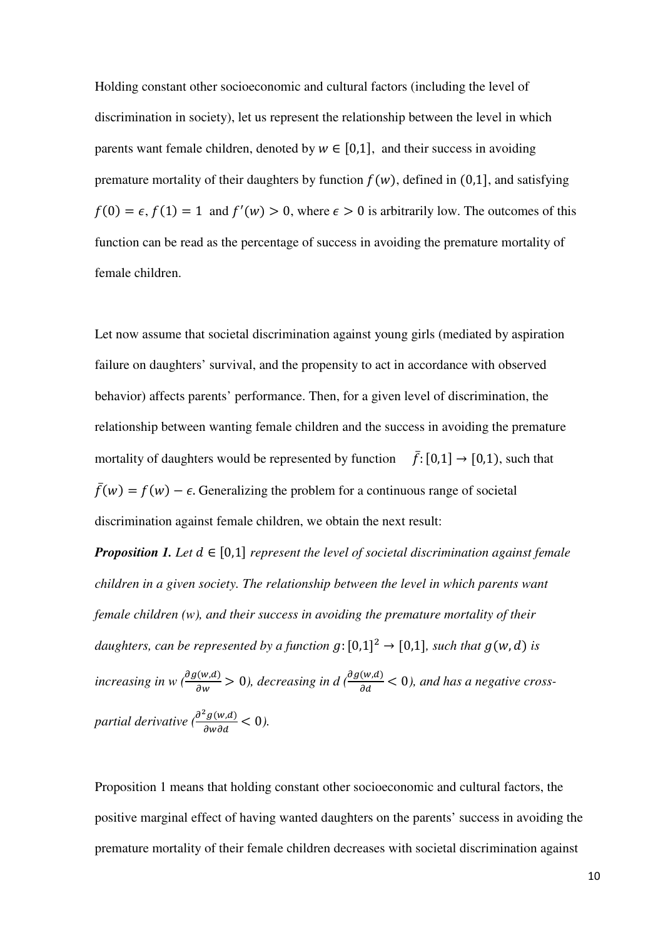Holding constant other socioeconomic and cultural factors (including the level of discrimination in society), let us represent the relationship between the level in which parents want female children, denoted by  $w \in [0,1]$ , and their success in avoiding premature mortality of their daughters by function  $f(w)$ , defined in (0,1), and satisfying  $f(0) = \epsilon$ ,  $f(1) = 1$  and  $f'(w) > 0$ , where  $\epsilon > 0$  is arbitrarily low. The outcomes of this function can be read as the percentage of success in avoiding the premature mortality of female children.

Let now assume that societal discrimination against young girls (mediated by aspiration failure on daughters' survival, and the propensity to act in accordance with observed behavior) affects parents' performance. Then, for a given level of discrimination, the relationship between wanting female children and the success in avoiding the premature mortality of daughters would be represented by function  $\bar{f}: [0,1] \rightarrow [0,1)$ , such that  $\bar{f}(w) = f(w) - \epsilon$ . Generalizing the problem for a continuous range of societal discrimination against female children, we obtain the next result:

*Proposition 1. Let*  $d \in [0,1]$  *represent the level of societal discrimination against female children in a given society. The relationship between the level in which parents want female children (w), and their success in avoiding the premature mortality of their daughters, can be represented by a function*  $g:[0,1]^2 \rightarrow [0,1]$ *, such that*  $g(w, d)$  *is* increasing in w ( $\frac{\partial g(w,d)}{\partial w}$  > 0), decreasing in d ( $\frac{\partial g(w,d)}{\partial d}$  < 0), and has a negative cross*partial derivative*  $\left(\frac{\partial^2 g(w, d)}{\partial w \partial d}\right) < 0$ ).

Proposition 1 means that holding constant other socioeconomic and cultural factors, the positive marginal effect of having wanted daughters on the parents' success in avoiding the premature mortality of their female children decreases with societal discrimination against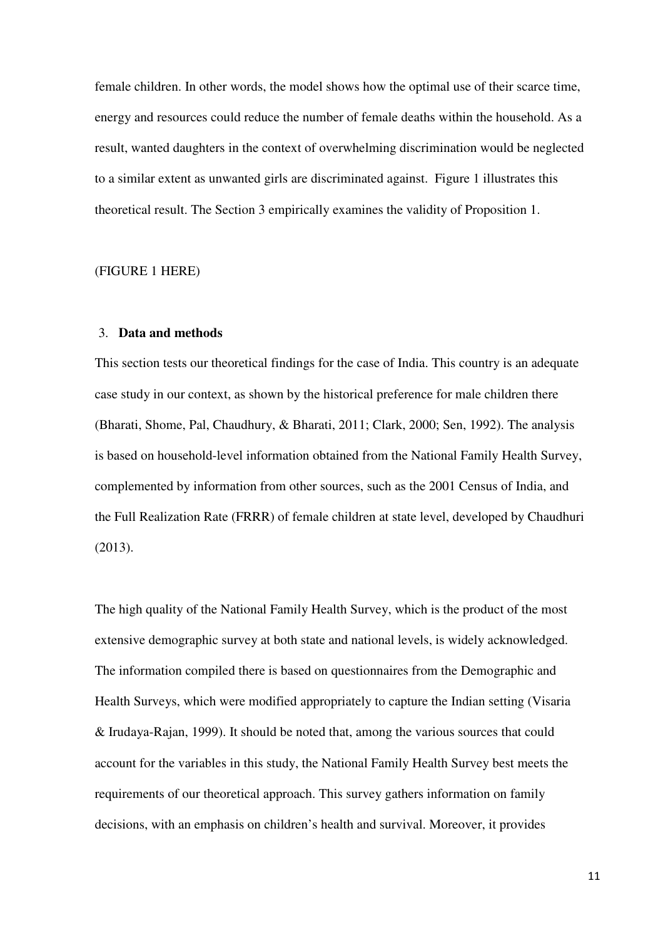female children. In other words, the model shows how the optimal use of their scarce time, energy and resources could reduce the number of female deaths within the household. As a result, wanted daughters in the context of overwhelming discrimination would be neglected to a similar extent as unwanted girls are discriminated against. Figure 1 illustrates this theoretical result. The Section 3 empirically examines the validity of Proposition 1.

#### (FIGURE 1 HERE)

#### 3. **Data and methods**

This section tests our theoretical findings for the case of India. This country is an adequate case study in our context, as shown by the historical preference for male children there (Bharati, Shome, Pal, Chaudhury, & Bharati, 2011; Clark, 2000; Sen, 1992). The analysis is based on household-level information obtained from the National Family Health Survey, complemented by information from other sources, such as the 2001 Census of India, and the Full Realization Rate (FRRR) of female children at state level, developed by Chaudhuri (2013).

The high quality of the National Family Health Survey, which is the product of the most extensive demographic survey at both state and national levels, is widely acknowledged. The information compiled there is based on questionnaires from the Demographic and Health Surveys, which were modified appropriately to capture the Indian setting (Visaria & Irudaya-Rajan, 1999). It should be noted that, among the various sources that could account for the variables in this study, the National Family Health Survey best meets the requirements of our theoretical approach. This survey gathers information on family decisions, with an emphasis on children's health and survival. Moreover, it provides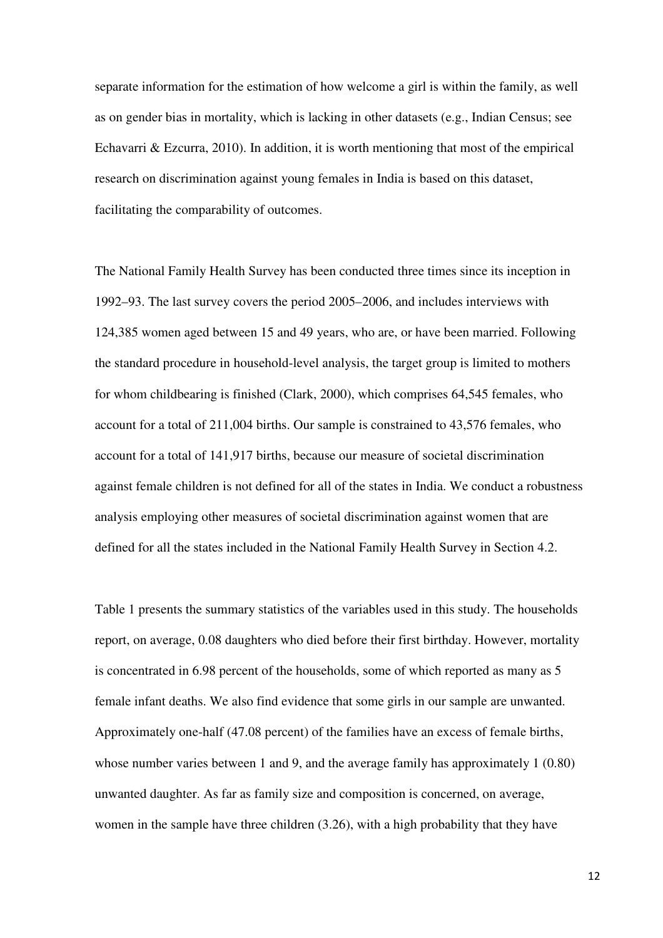separate information for the estimation of how welcome a girl is within the family, as well as on gender bias in mortality, which is lacking in other datasets (e.g., Indian Census; see Echavarri & Ezcurra, 2010). In addition, it is worth mentioning that most of the empirical research on discrimination against young females in India is based on this dataset, facilitating the comparability of outcomes.

The National Family Health Survey has been conducted three times since its inception in 1992–93. The last survey covers the period 2005–2006, and includes interviews with 124,385 women aged between 15 and 49 years, who are, or have been married. Following the standard procedure in household-level analysis, the target group is limited to mothers for whom childbearing is finished (Clark, 2000), which comprises 64,545 females, who account for a total of 211,004 births. Our sample is constrained to 43,576 females, who account for a total of 141,917 births, because our measure of societal discrimination against female children is not defined for all of the states in India. We conduct a robustness analysis employing other measures of societal discrimination against women that are defined for all the states included in the National Family Health Survey in Section 4.2.

Table 1 presents the summary statistics of the variables used in this study. The households report, on average, 0.08 daughters who died before their first birthday. However, mortality is concentrated in 6.98 percent of the households, some of which reported as many as 5 female infant deaths. We also find evidence that some girls in our sample are unwanted. Approximately one-half (47.08 percent) of the families have an excess of female births, whose number varies between 1 and 9, and the average family has approximately 1 (0.80) unwanted daughter. As far as family size and composition is concerned, on average, women in the sample have three children (3.26), with a high probability that they have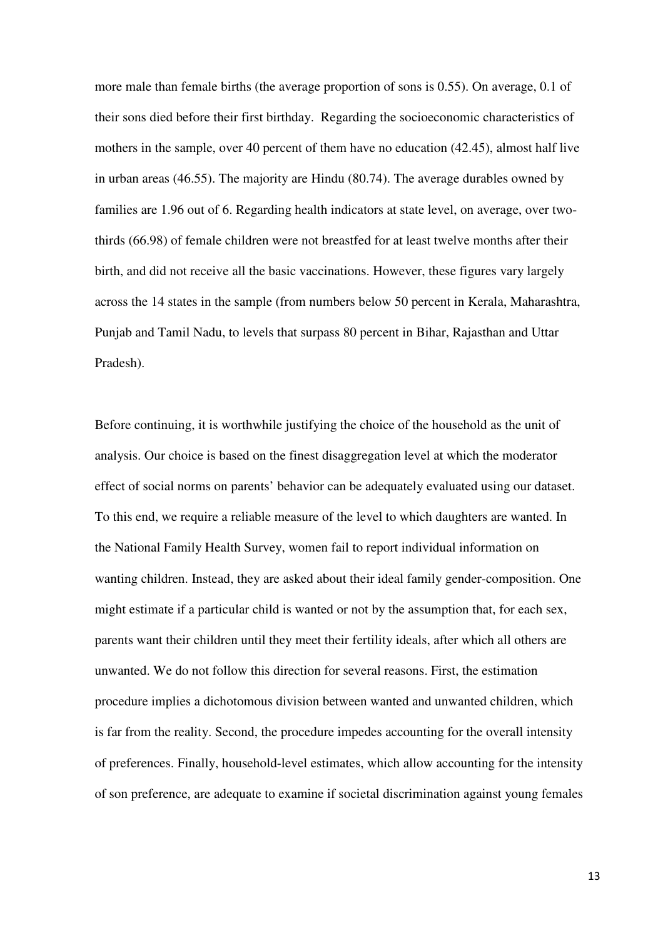more male than female births (the average proportion of sons is 0.55). On average, 0.1 of their sons died before their first birthday. Regarding the socioeconomic characteristics of mothers in the sample, over 40 percent of them have no education (42.45), almost half live in urban areas (46.55). The majority are Hindu (80.74). The average durables owned by families are 1.96 out of 6. Regarding health indicators at state level, on average, over twothirds (66.98) of female children were not breastfed for at least twelve months after their birth, and did not receive all the basic vaccinations. However, these figures vary largely across the 14 states in the sample (from numbers below 50 percent in Kerala, Maharashtra, Punjab and Tamil Nadu, to levels that surpass 80 percent in Bihar, Rajasthan and Uttar Pradesh).

Before continuing, it is worthwhile justifying the choice of the household as the unit of analysis. Our choice is based on the finest disaggregation level at which the moderator effect of social norms on parents' behavior can be adequately evaluated using our dataset. To this end, we require a reliable measure of the level to which daughters are wanted. In the National Family Health Survey, women fail to report individual information on wanting children. Instead, they are asked about their ideal family gender-composition. One might estimate if a particular child is wanted or not by the assumption that, for each sex, parents want their children until they meet their fertility ideals, after which all others are unwanted. We do not follow this direction for several reasons. First, the estimation procedure implies a dichotomous division between wanted and unwanted children, which is far from the reality. Second, the procedure impedes accounting for the overall intensity of preferences. Finally, household-level estimates, which allow accounting for the intensity of son preference, are adequate to examine if societal discrimination against young females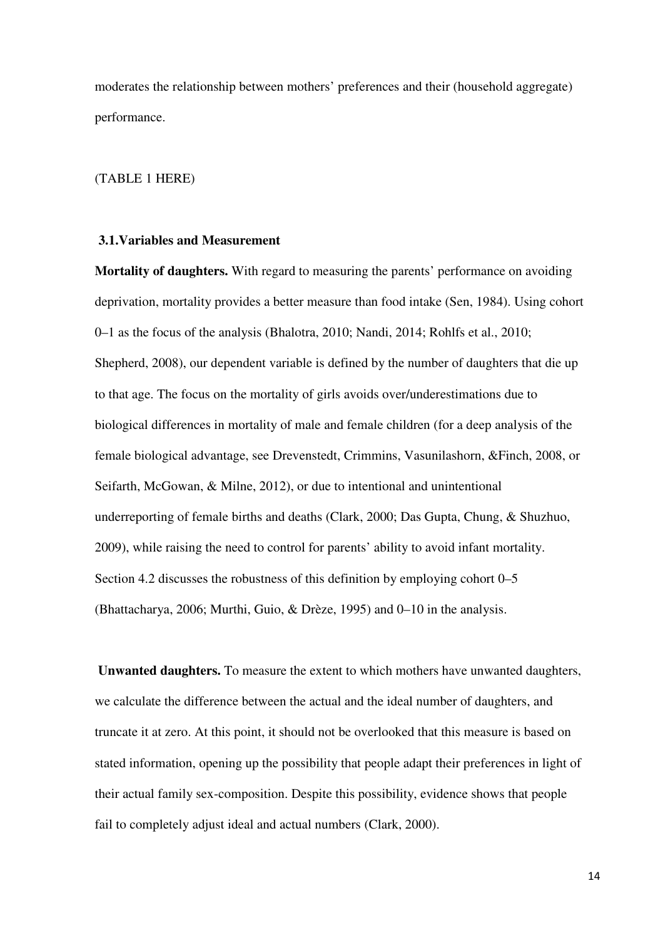moderates the relationship between mothers' preferences and their (household aggregate) performance.

#### (TABLE 1 HERE)

### **3.1.Variables and Measurement**

**Mortality of daughters.** With regard to measuring the parents' performance on avoiding deprivation, mortality provides a better measure than food intake (Sen, 1984). Using cohort 0–1 as the focus of the analysis (Bhalotra, 2010; Nandi, 2014; Rohlfs et al., 2010; Shepherd, 2008), our dependent variable is defined by the number of daughters that die up to that age. The focus on the mortality of girls avoids over/underestimations due to biological differences in mortality of male and female children (for a deep analysis of the female biological advantage, see Drevenstedt, Crimmins, Vasunilashorn, &Finch, 2008, or Seifarth, McGowan, & Milne, 2012), or due to intentional and unintentional underreporting of female births and deaths (Clark, 2000; Das Gupta, Chung, & Shuzhuo, 2009), while raising the need to control for parents' ability to avoid infant mortality. Section 4.2 discusses the robustness of this definition by employing cohort 0–5 (Bhattacharya, 2006; Murthi, Guio, & Drèze, 1995) and 0–10 in the analysis.

 **Unwanted daughters.** To measure the extent to which mothers have unwanted daughters, we calculate the difference between the actual and the ideal number of daughters, and truncate it at zero. At this point, it should not be overlooked that this measure is based on stated information, opening up the possibility that people adapt their preferences in light of their actual family sex-composition. Despite this possibility, evidence shows that people fail to completely adjust ideal and actual numbers (Clark, 2000).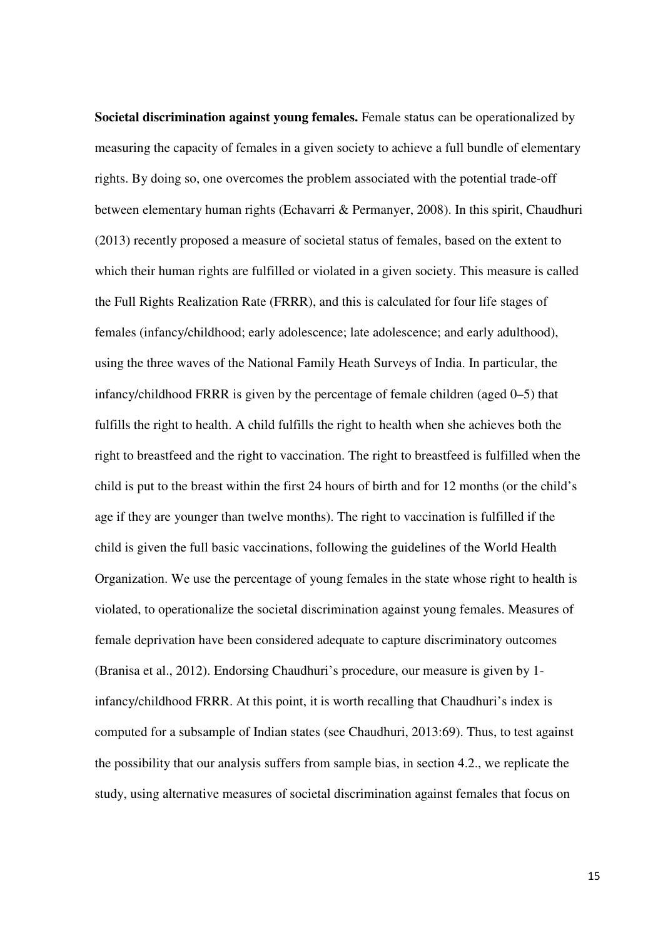**Societal discrimination against young females.** Female status can be operationalized by measuring the capacity of females in a given society to achieve a full bundle of elementary rights. By doing so, one overcomes the problem associated with the potential trade-off between elementary human rights (Echavarri & Permanyer, 2008). In this spirit, Chaudhuri (2013) recently proposed a measure of societal status of females, based on the extent to which their human rights are fulfilled or violated in a given society. This measure is called the Full Rights Realization Rate (FRRR), and this is calculated for four life stages of females (infancy/childhood; early adolescence; late adolescence; and early adulthood), using the three waves of the National Family Heath Surveys of India. In particular, the infancy/childhood FRRR is given by the percentage of female children (aged 0–5) that fulfills the right to health. A child fulfills the right to health when she achieves both the right to breastfeed and the right to vaccination. The right to breastfeed is fulfilled when the child is put to the breast within the first 24 hours of birth and for 12 months (or the child's age if they are younger than twelve months). The right to vaccination is fulfilled if the child is given the full basic vaccinations, following the guidelines of the World Health Organization. We use the percentage of young females in the state whose right to health is violated, to operationalize the societal discrimination against young females. Measures of female deprivation have been considered adequate to capture discriminatory outcomes (Branisa et al., 2012). Endorsing Chaudhuri's procedure, our measure is given by 1 infancy/childhood FRRR. At this point, it is worth recalling that Chaudhuri's index is computed for a subsample of Indian states (see Chaudhuri, 2013:69). Thus, to test against the possibility that our analysis suffers from sample bias, in section 4.2., we replicate the study, using alternative measures of societal discrimination against females that focus on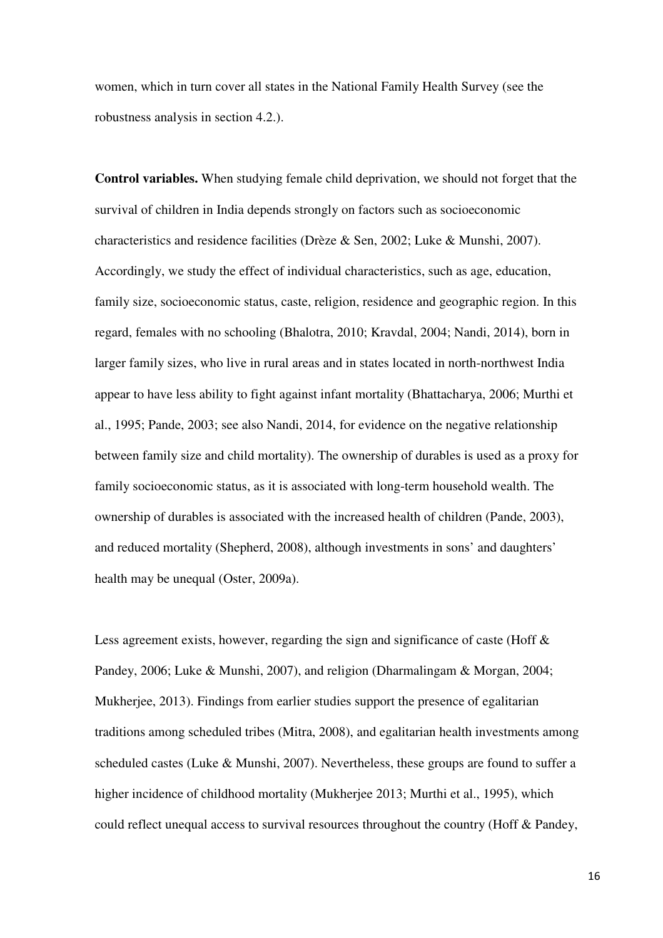women, which in turn cover all states in the National Family Health Survey (see the robustness analysis in section 4.2.).

**Control variables.** When studying female child deprivation, we should not forget that the survival of children in India depends strongly on factors such as socioeconomic characteristics and residence facilities (Drèze & Sen, 2002; Luke & Munshi, 2007). Accordingly, we study the effect of individual characteristics, such as age, education, family size, socioeconomic status, caste, religion, residence and geographic region. In this regard, females with no schooling (Bhalotra, 2010; Kravdal, 2004; Nandi, 2014), born in larger family sizes, who live in rural areas and in states located in north-northwest India appear to have less ability to fight against infant mortality (Bhattacharya, 2006; Murthi et al., 1995; Pande, 2003; see also Nandi, 2014, for evidence on the negative relationship between family size and child mortality). The ownership of durables is used as a proxy for family socioeconomic status, as it is associated with long-term household wealth. The ownership of durables is associated with the increased health of children (Pande, 2003), and reduced mortality (Shepherd, 2008), although investments in sons' and daughters' health may be unequal (Oster, 2009a).

Less agreement exists, however, regarding the sign and significance of caste (Hoff  $\&$ Pandey, 2006; Luke & Munshi, 2007), and religion (Dharmalingam & Morgan, 2004; Mukherjee, 2013). Findings from earlier studies support the presence of egalitarian traditions among scheduled tribes (Mitra, 2008), and egalitarian health investments among scheduled castes (Luke & Munshi, 2007). Nevertheless, these groups are found to suffer a higher incidence of childhood mortality (Mukherjee 2013; Murthi et al., 1995), which could reflect unequal access to survival resources throughout the country (Hoff & Pandey,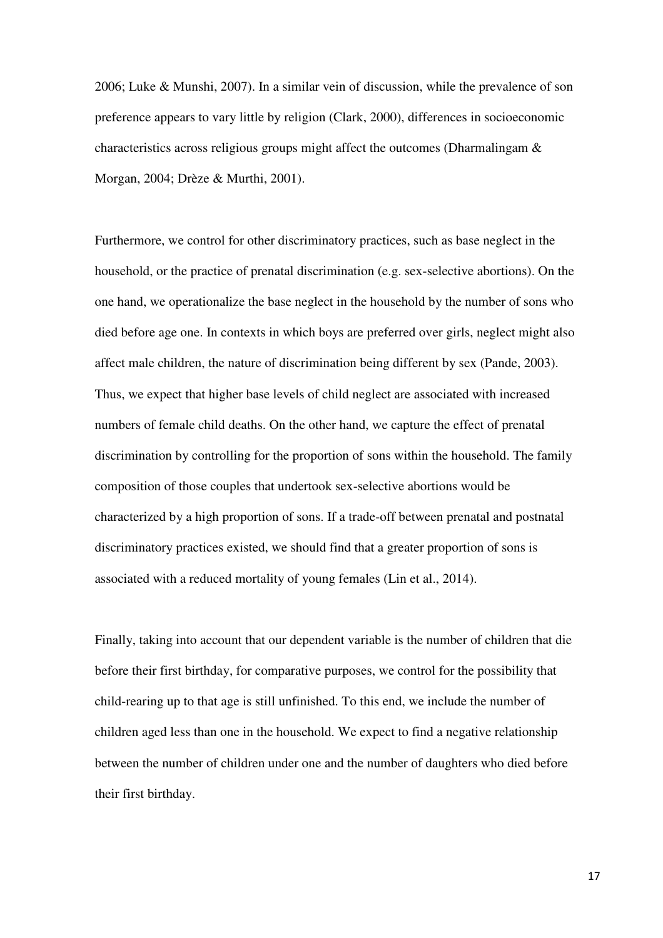2006; Luke & Munshi, 2007). In a similar vein of discussion, while the prevalence of son preference appears to vary little by religion (Clark, 2000), differences in socioeconomic characteristics across religious groups might affect the outcomes (Dharmalingam & Morgan, 2004; Drèze & Murthi, 2001).

Furthermore, we control for other discriminatory practices, such as base neglect in the household, or the practice of prenatal discrimination (e.g. sex-selective abortions). On the one hand, we operationalize the base neglect in the household by the number of sons who died before age one. In contexts in which boys are preferred over girls, neglect might also affect male children, the nature of discrimination being different by sex (Pande, 2003). Thus, we expect that higher base levels of child neglect are associated with increased numbers of female child deaths. On the other hand, we capture the effect of prenatal discrimination by controlling for the proportion of sons within the household. The family composition of those couples that undertook sex-selective abortions would be characterized by a high proportion of sons. If a trade-off between prenatal and postnatal discriminatory practices existed, we should find that a greater proportion of sons is associated with a reduced mortality of young females (Lin et al., 2014).

Finally, taking into account that our dependent variable is the number of children that die before their first birthday, for comparative purposes, we control for the possibility that child-rearing up to that age is still unfinished. To this end, we include the number of children aged less than one in the household. We expect to find a negative relationship between the number of children under one and the number of daughters who died before their first birthday.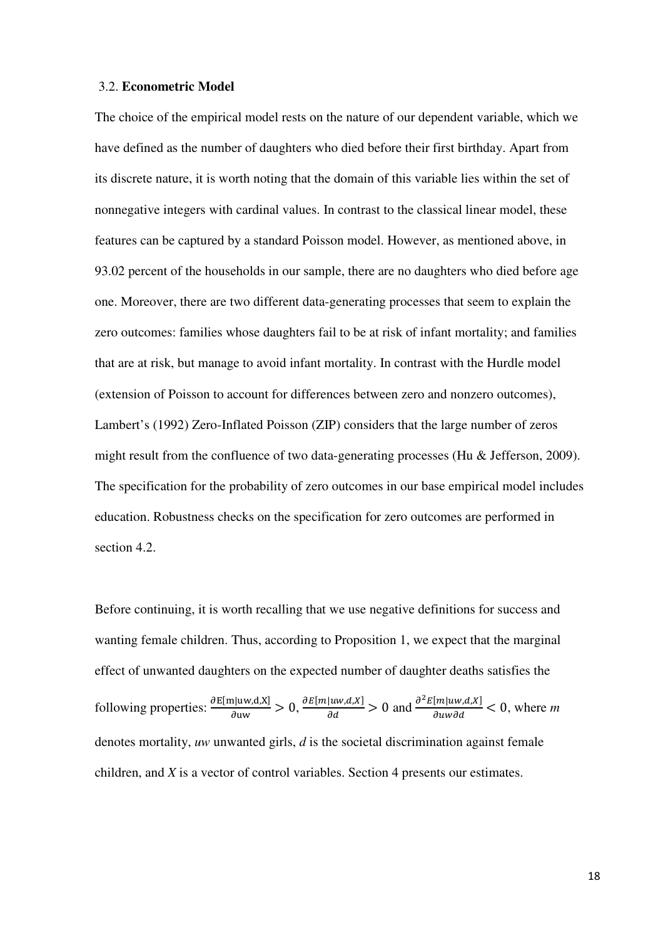#### 3.2. **Econometric Model**

The choice of the empirical model rests on the nature of our dependent variable, which we have defined as the number of daughters who died before their first birthday. Apart from its discrete nature, it is worth noting that the domain of this variable lies within the set of nonnegative integers with cardinal values. In contrast to the classical linear model, these features can be captured by a standard Poisson model. However, as mentioned above, in 93.02 percent of the households in our sample, there are no daughters who died before age one. Moreover, there are two different data-generating processes that seem to explain the zero outcomes: families whose daughters fail to be at risk of infant mortality; and families that are at risk, but manage to avoid infant mortality. In contrast with the Hurdle model (extension of Poisson to account for differences between zero and nonzero outcomes), Lambert's (1992) Zero-Inflated Poisson (ZIP) considers that the large number of zeros might result from the confluence of two data-generating processes (Hu & Jefferson, 2009). The specification for the probability of zero outcomes in our base empirical model includes education. Robustness checks on the specification for zero outcomes are performed in section 4.2.

Before continuing, it is worth recalling that we use negative definitions for success and wanting female children. Thus, according to Proposition 1, we expect that the marginal effect of unwanted daughters on the expected number of daughter deaths satisfies the following properties:  $\frac{\partial E[m|uw,d,X]}{\partial uw} > 0$ ,  $\frac{\partial E[m|uw,d,X]}{\partial d} > 0$  and  $\frac{\partial^2 E[m|uw,d,X]}{\partial uw \partial d} < 0$ , where m denotes mortality, *uw* unwanted girls, *d* is the societal discrimination against female children, and *X* is a vector of control variables. Section 4 presents our estimates.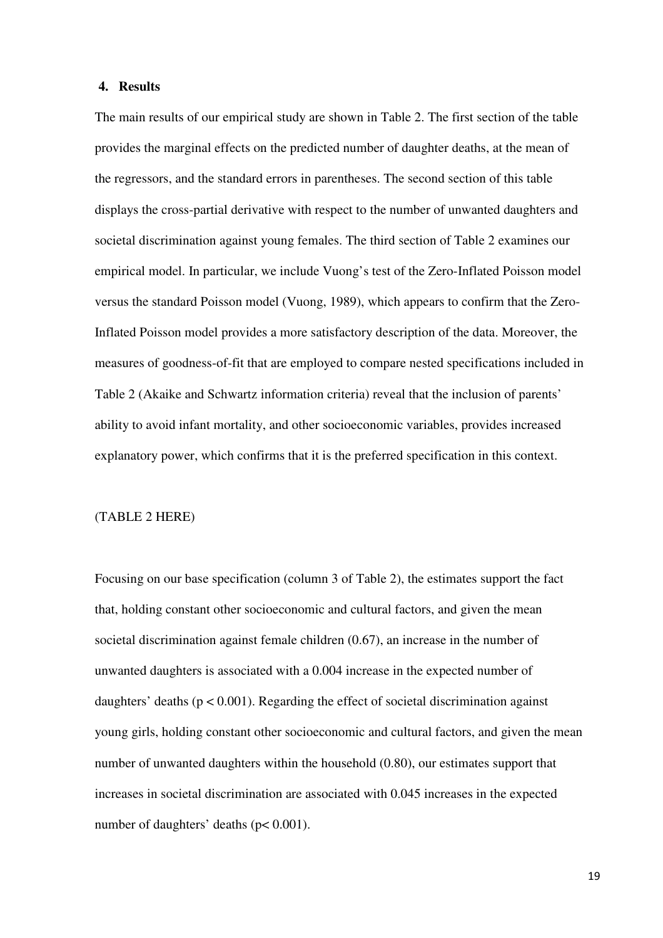## **4. Results**

The main results of our empirical study are shown in Table 2. The first section of the table provides the marginal effects on the predicted number of daughter deaths, at the mean of the regressors, and the standard errors in parentheses. The second section of this table displays the cross-partial derivative with respect to the number of unwanted daughters and societal discrimination against young females. The third section of Table 2 examines our empirical model. In particular, we include Vuong's test of the Zero-Inflated Poisson model versus the standard Poisson model (Vuong, 1989), which appears to confirm that the Zero-Inflated Poisson model provides a more satisfactory description of the data. Moreover, the measures of goodness-of-fit that are employed to compare nested specifications included in Table 2 (Akaike and Schwartz information criteria) reveal that the inclusion of parents' ability to avoid infant mortality, and other socioeconomic variables, provides increased explanatory power, which confirms that it is the preferred specification in this context.

#### (TABLE 2 HERE)

Focusing on our base specification (column 3 of Table 2), the estimates support the fact that, holding constant other socioeconomic and cultural factors, and given the mean societal discrimination against female children (0.67), an increase in the number of unwanted daughters is associated with a 0.004 increase in the expected number of daughters' deaths ( $p < 0.001$ ). Regarding the effect of societal discrimination against young girls, holding constant other socioeconomic and cultural factors, and given the mean number of unwanted daughters within the household (0.80), our estimates support that increases in societal discrimination are associated with 0.045 increases in the expected number of daughters' deaths ( $p < 0.001$ ).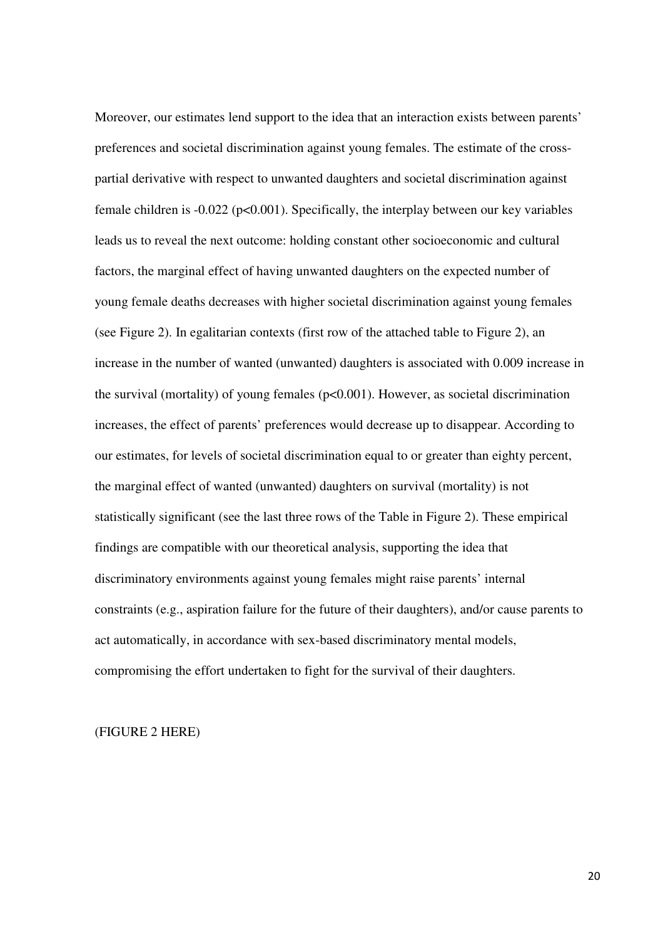Moreover, our estimates lend support to the idea that an interaction exists between parents' preferences and societal discrimination against young females. The estimate of the crosspartial derivative with respect to unwanted daughters and societal discrimination against female children is -0.022 (p<0.001). Specifically, the interplay between our key variables leads us to reveal the next outcome: holding constant other socioeconomic and cultural factors, the marginal effect of having unwanted daughters on the expected number of young female deaths decreases with higher societal discrimination against young females (see Figure 2). In egalitarian contexts (first row of the attached table to Figure 2), an increase in the number of wanted (unwanted) daughters is associated with 0.009 increase in the survival (mortality) of young females (p<0.001). However, as societal discrimination increases, the effect of parents' preferences would decrease up to disappear. According to our estimates, for levels of societal discrimination equal to or greater than eighty percent, the marginal effect of wanted (unwanted) daughters on survival (mortality) is not statistically significant (see the last three rows of the Table in Figure 2). These empirical findings are compatible with our theoretical analysis, supporting the idea that discriminatory environments against young females might raise parents' internal constraints (e.g., aspiration failure for the future of their daughters), and/or cause parents to act automatically, in accordance with sex-based discriminatory mental models, compromising the effort undertaken to fight for the survival of their daughters.

(FIGURE 2 HERE)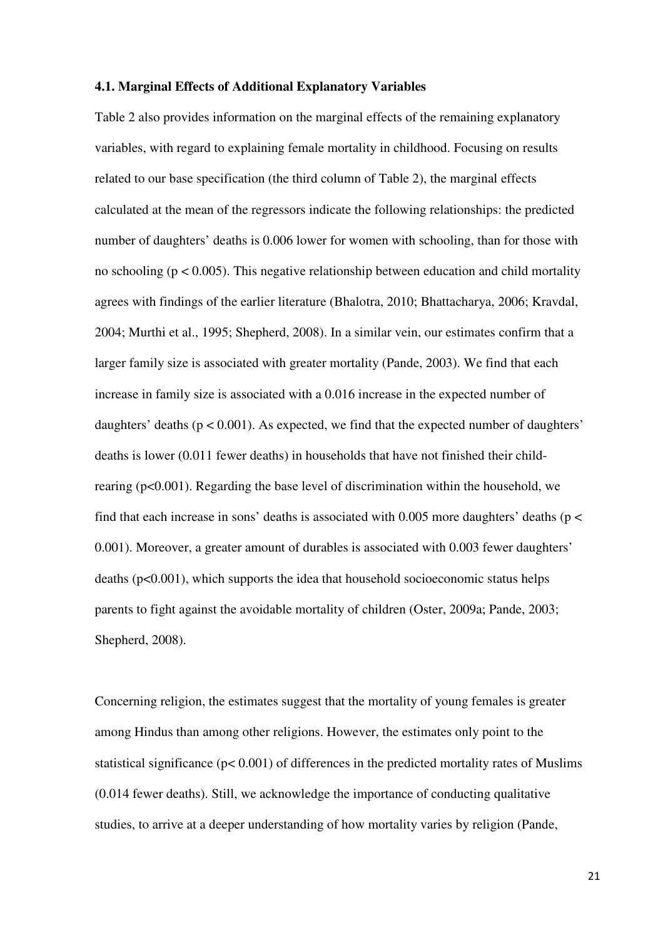#### **4.1. Marginal Effects of Additional Explanatory Variables**

Table 2 also provides information on the marginal effects of the remaining explanatory variables, with regard to explaining female mortality in childhood. Focusing on results related to our base specification (the third column of Table 2), the marginal effects calculated at the mean of the regressors indicate the following relationships: the predicted number of daughters' deaths is 0.006 lower for women with schooling, than for those with no schooling ( $p < 0.005$ ). This negative relationship between education and child mortality agrees with findings of the earlier literature (Bhalotra, 2010; Bhattacharya, 2006; Kravdal, 2004; Murthi et al., 1995; Shepherd, 2008). In a similar vein, our estimates confirm that a larger family size is associated with greater mortality (Pande, 2003). We find that each increase in family size is associated with a 0.016 increase in the expected number of daughters' deaths ( $p < 0.001$ ). As expected, we find that the expected number of daughters' deaths is lower (0.011 fewer deaths) in households that have not finished their childrearing (p<0.001). Regarding the base level of discrimination within the household, we find that each increase in sons' deaths is associated with  $0.005$  more daughters' deaths ( $p <$ 0.001). Moreover, a greater amount of durables is associated with 0.003 fewer daughters' deaths (p<0.001), which supports the idea that household socioeconomic status helps parents to fight against the avoidable mortality of children (Oster, 2009a; Pande, 2003; Shepherd, 2008).

Concerning religion, the estimates suggest that the mortality of young females is greater among Hindus than among other religions. However, the estimates only point to the statistical significance ( $p < 0.001$ ) of differences in the predicted mortality rates of Muslims (0.014 fewer deaths). Still, we acknowledge the importance of conducting qualitative studies, to arrive at a deeper understanding of how mortality varies by religion (Pande,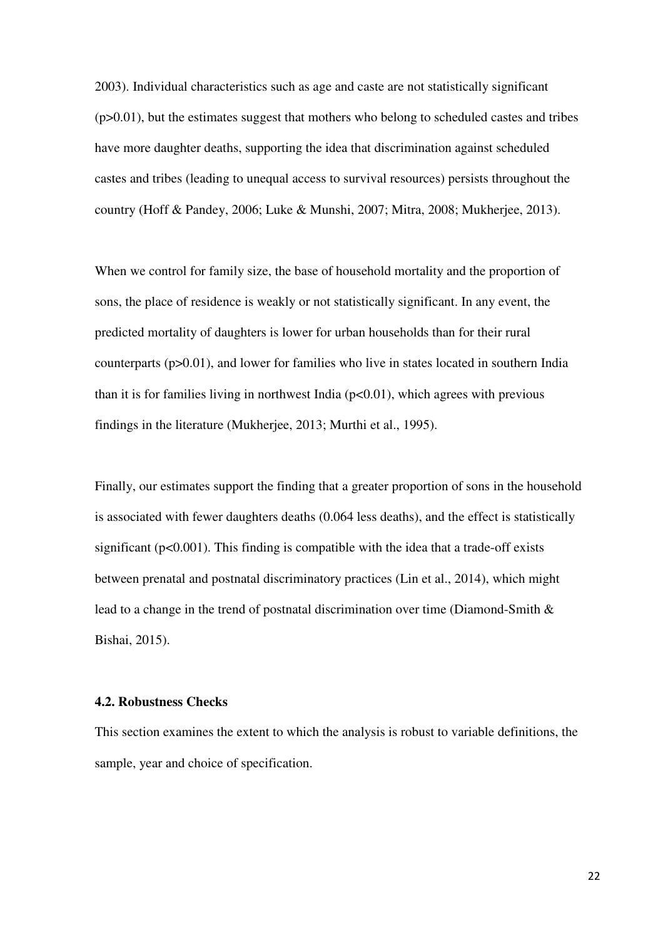2003). Individual characteristics such as age and caste are not statistically significant (p>0.01), but the estimates suggest that mothers who belong to scheduled castes and tribes have more daughter deaths, supporting the idea that discrimination against scheduled castes and tribes (leading to unequal access to survival resources) persists throughout the country (Hoff & Pandey, 2006; Luke & Munshi, 2007; Mitra, 2008; Mukherjee, 2013).

When we control for family size, the base of household mortality and the proportion of sons, the place of residence is weakly or not statistically significant. In any event, the predicted mortality of daughters is lower for urban households than for their rural counterparts (p>0.01), and lower for families who live in states located in southern India than it is for families living in northwest India  $(p<0.01)$ , which agrees with previous findings in the literature (Mukherjee, 2013; Murthi et al., 1995).

Finally, our estimates support the finding that a greater proportion of sons in the household is associated with fewer daughters deaths (0.064 less deaths), and the effect is statistically significant ( $p<0.001$ ). This finding is compatible with the idea that a trade-off exists between prenatal and postnatal discriminatory practices (Lin et al., 2014), which might lead to a change in the trend of postnatal discrimination over time (Diamond-Smith & Bishai, 2015).

## **4.2. Robustness Checks**

This section examines the extent to which the analysis is robust to variable definitions, the sample, year and choice of specification.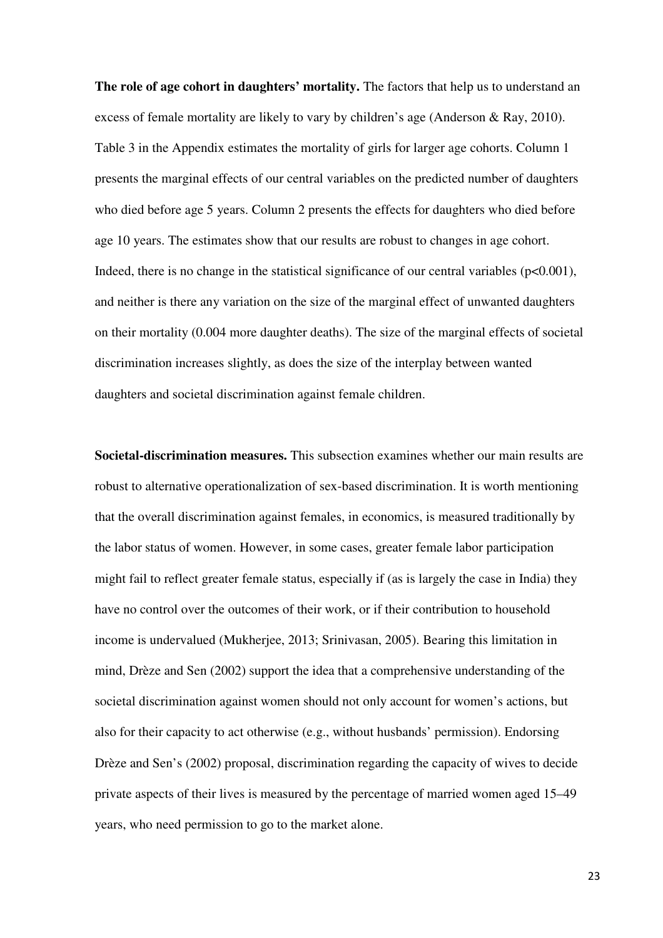**The role of age cohort in daughters' mortality.** The factors that help us to understand an excess of female mortality are likely to vary by children's age (Anderson & Ray, 2010). Table 3 in the Appendix estimates the mortality of girls for larger age cohorts. Column 1 presents the marginal effects of our central variables on the predicted number of daughters who died before age 5 years. Column 2 presents the effects for daughters who died before age 10 years. The estimates show that our results are robust to changes in age cohort. Indeed, there is no change in the statistical significance of our central variables ( $p<0.001$ ), and neither is there any variation on the size of the marginal effect of unwanted daughters on their mortality (0.004 more daughter deaths). The size of the marginal effects of societal discrimination increases slightly, as does the size of the interplay between wanted daughters and societal discrimination against female children.

**Societal-discrimination measures.** This subsection examines whether our main results are robust to alternative operationalization of sex-based discrimination. It is worth mentioning that the overall discrimination against females, in economics, is measured traditionally by the labor status of women. However, in some cases, greater female labor participation might fail to reflect greater female status, especially if (as is largely the case in India) they have no control over the outcomes of their work, or if their contribution to household income is undervalued (Mukherjee, 2013; Srinivasan, 2005). Bearing this limitation in mind, Drèze and Sen (2002) support the idea that a comprehensive understanding of the societal discrimination against women should not only account for women's actions, but also for their capacity to act otherwise (e.g., without husbands' permission). Endorsing Drèze and Sen's (2002) proposal, discrimination regarding the capacity of wives to decide private aspects of their lives is measured by the percentage of married women aged 15–49 years, who need permission to go to the market alone.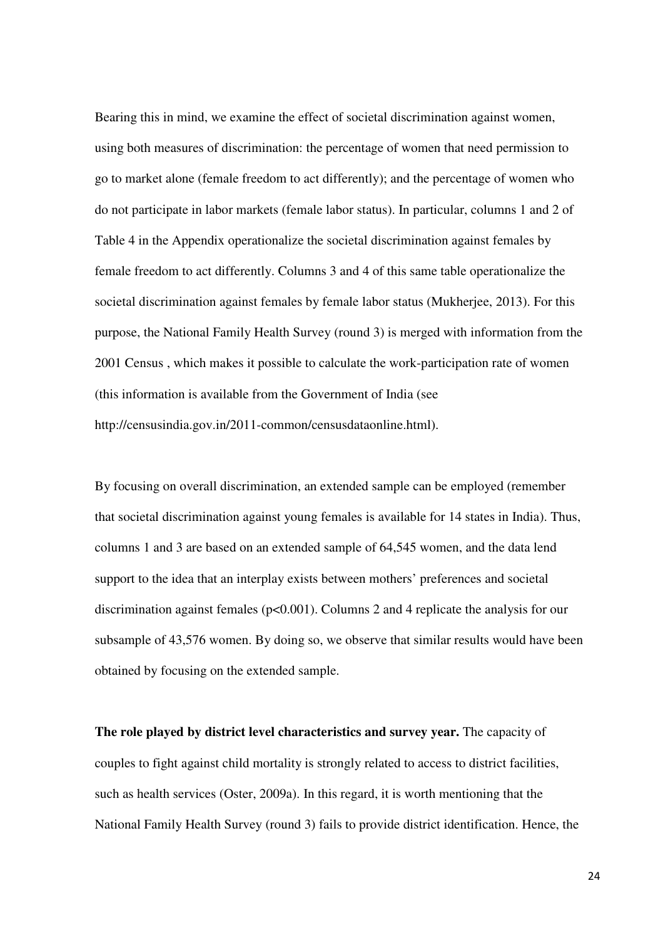Bearing this in mind, we examine the effect of societal discrimination against women, using both measures of discrimination: the percentage of women that need permission to go to market alone (female freedom to act differently); and the percentage of women who do not participate in labor markets (female labor status). In particular, columns 1 and 2 of Table 4 in the Appendix operationalize the societal discrimination against females by female freedom to act differently. Columns 3 and 4 of this same table operationalize the societal discrimination against females by female labor status (Mukherjee, 2013). For this purpose, the National Family Health Survey (round 3) is merged with information from the 2001 Census , which makes it possible to calculate the work-participation rate of women (this information is available from the Government of India (see http://censusindia.gov.in/2011-common/censusdataonline.html).

By focusing on overall discrimination, an extended sample can be employed (remember that societal discrimination against young females is available for 14 states in India). Thus, columns 1 and 3 are based on an extended sample of 64,545 women, and the data lend support to the idea that an interplay exists between mothers' preferences and societal discrimination against females  $(p<0.001)$ . Columns 2 and 4 replicate the analysis for our subsample of 43,576 women. By doing so, we observe that similar results would have been obtained by focusing on the extended sample.

**The role played by district level characteristics and survey year.** The capacity of couples to fight against child mortality is strongly related to access to district facilities, such as health services (Oster, 2009a). In this regard, it is worth mentioning that the National Family Health Survey (round 3) fails to provide district identification. Hence, the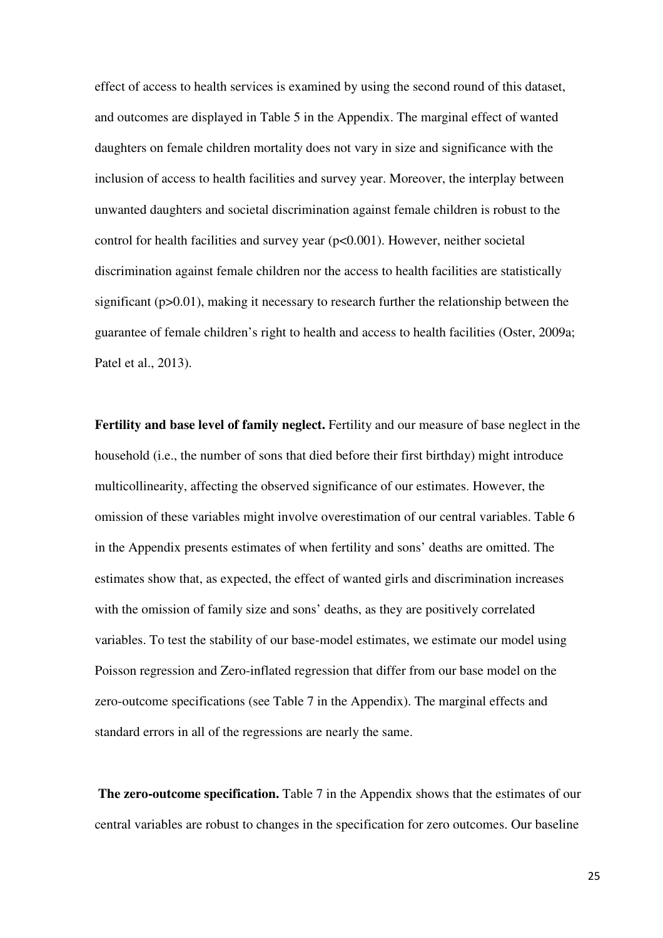effect of access to health services is examined by using the second round of this dataset, and outcomes are displayed in Table 5 in the Appendix. The marginal effect of wanted daughters on female children mortality does not vary in size and significance with the inclusion of access to health facilities and survey year. Moreover, the interplay between unwanted daughters and societal discrimination against female children is robust to the control for health facilities and survey year (p<0.001). However, neither societal discrimination against female children nor the access to health facilities are statistically significant (p>0.01), making it necessary to research further the relationship between the guarantee of female children's right to health and access to health facilities (Oster, 2009a; Patel et al., 2013).

**Fertility and base level of family neglect.** Fertility and our measure of base neglect in the household (i.e., the number of sons that died before their first birthday) might introduce multicollinearity, affecting the observed significance of our estimates. However, the omission of these variables might involve overestimation of our central variables. Table 6 in the Appendix presents estimates of when fertility and sons' deaths are omitted. The estimates show that, as expected, the effect of wanted girls and discrimination increases with the omission of family size and sons' deaths, as they are positively correlated variables. To test the stability of our base-model estimates, we estimate our model using Poisson regression and Zero-inflated regression that differ from our base model on the zero-outcome specifications (see Table 7 in the Appendix). The marginal effects and standard errors in all of the regressions are nearly the same.

**The zero-outcome specification.** Table 7 in the Appendix shows that the estimates of our central variables are robust to changes in the specification for zero outcomes. Our baseline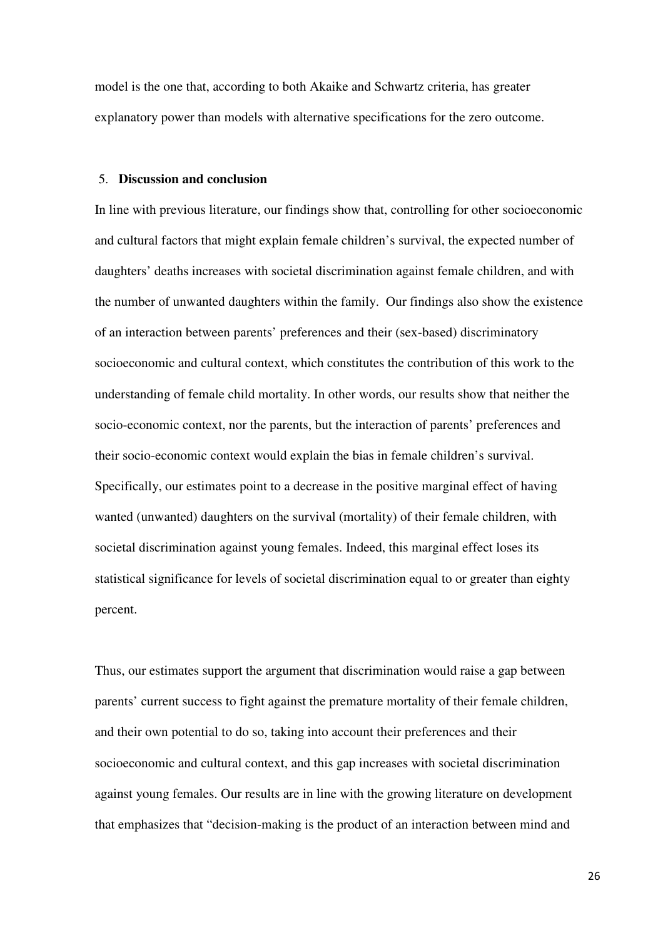model is the one that, according to both Akaike and Schwartz criteria, has greater explanatory power than models with alternative specifications for the zero outcome.

## 5. **Discussion and conclusion**

In line with previous literature, our findings show that, controlling for other socioeconomic and cultural factors that might explain female children's survival, the expected number of daughters' deaths increases with societal discrimination against female children, and with the number of unwanted daughters within the family. Our findings also show the existence of an interaction between parents' preferences and their (sex-based) discriminatory socioeconomic and cultural context, which constitutes the contribution of this work to the understanding of female child mortality. In other words, our results show that neither the socio-economic context, nor the parents, but the interaction of parents' preferences and their socio-economic context would explain the bias in female children's survival. Specifically, our estimates point to a decrease in the positive marginal effect of having wanted (unwanted) daughters on the survival (mortality) of their female children, with societal discrimination against young females. Indeed, this marginal effect loses its statistical significance for levels of societal discrimination equal to or greater than eighty percent.

Thus, our estimates support the argument that discrimination would raise a gap between parents' current success to fight against the premature mortality of their female children, and their own potential to do so, taking into account their preferences and their socioeconomic and cultural context, and this gap increases with societal discrimination against young females. Our results are in line with the growing literature on development that emphasizes that "decision-making is the product of an interaction between mind and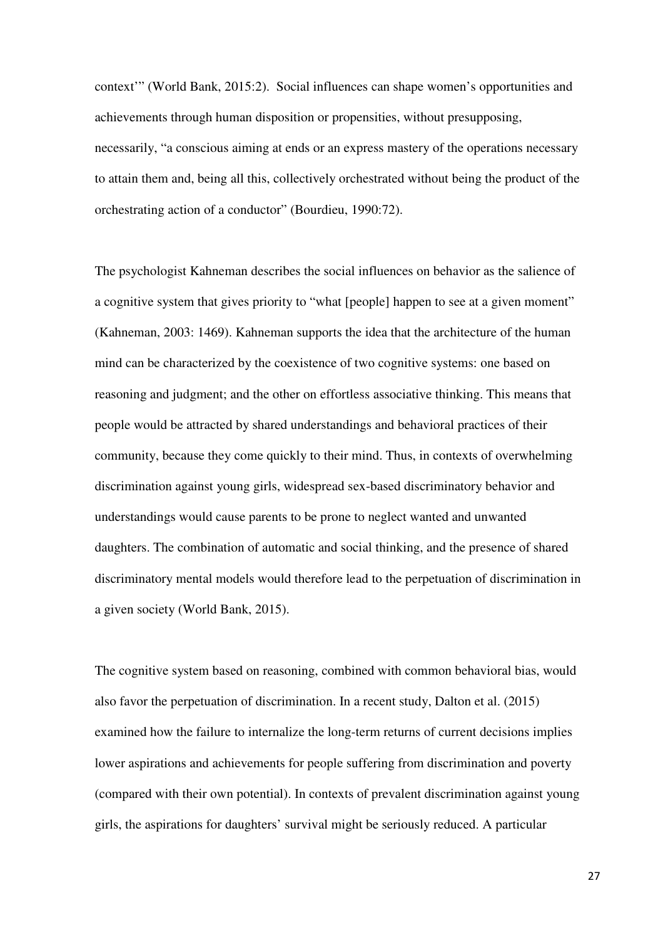context'" (World Bank, 2015:2). Social influences can shape women's opportunities and achievements through human disposition or propensities, without presupposing, necessarily, "a conscious aiming at ends or an express mastery of the operations necessary to attain them and, being all this, collectively orchestrated without being the product of the orchestrating action of a conductor" (Bourdieu, 1990:72).

The psychologist Kahneman describes the social influences on behavior as the salience of a cognitive system that gives priority to "what [people] happen to see at a given moment" (Kahneman, 2003: 1469). Kahneman supports the idea that the architecture of the human mind can be characterized by the coexistence of two cognitive systems: one based on reasoning and judgment; and the other on effortless associative thinking. This means that people would be attracted by shared understandings and behavioral practices of their community, because they come quickly to their mind. Thus, in contexts of overwhelming discrimination against young girls, widespread sex-based discriminatory behavior and understandings would cause parents to be prone to neglect wanted and unwanted daughters. The combination of automatic and social thinking, and the presence of shared discriminatory mental models would therefore lead to the perpetuation of discrimination in a given society (World Bank, 2015).

The cognitive system based on reasoning, combined with common behavioral bias, would also favor the perpetuation of discrimination. In a recent study, Dalton et al. (2015) examined how the failure to internalize the long-term returns of current decisions implies lower aspirations and achievements for people suffering from discrimination and poverty (compared with their own potential). In contexts of prevalent discrimination against young girls, the aspirations for daughters' survival might be seriously reduced. A particular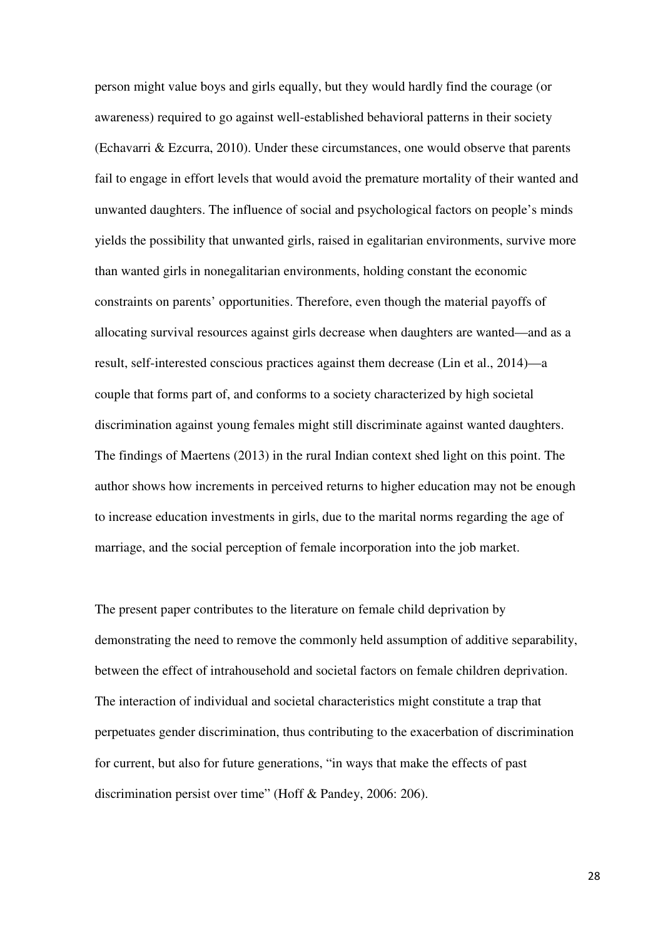person might value boys and girls equally, but they would hardly find the courage (or awareness) required to go against well-established behavioral patterns in their society (Echavarri & Ezcurra, 2010). Under these circumstances, one would observe that parents fail to engage in effort levels that would avoid the premature mortality of their wanted and unwanted daughters. The influence of social and psychological factors on people's minds yields the possibility that unwanted girls, raised in egalitarian environments, survive more than wanted girls in nonegalitarian environments, holding constant the economic constraints on parents' opportunities. Therefore, even though the material payoffs of allocating survival resources against girls decrease when daughters are wanted—and as a result, self-interested conscious practices against them decrease (Lin et al., 2014)—a couple that forms part of, and conforms to a society characterized by high societal discrimination against young females might still discriminate against wanted daughters. The findings of Maertens (2013) in the rural Indian context shed light on this point. The author shows how increments in perceived returns to higher education may not be enough to increase education investments in girls, due to the marital norms regarding the age of marriage, and the social perception of female incorporation into the job market.

The present paper contributes to the literature on female child deprivation by demonstrating the need to remove the commonly held assumption of additive separability, between the effect of intrahousehold and societal factors on female children deprivation. The interaction of individual and societal characteristics might constitute a trap that perpetuates gender discrimination, thus contributing to the exacerbation of discrimination for current, but also for future generations, "in ways that make the effects of past discrimination persist over time" (Hoff & Pandey, 2006: 206).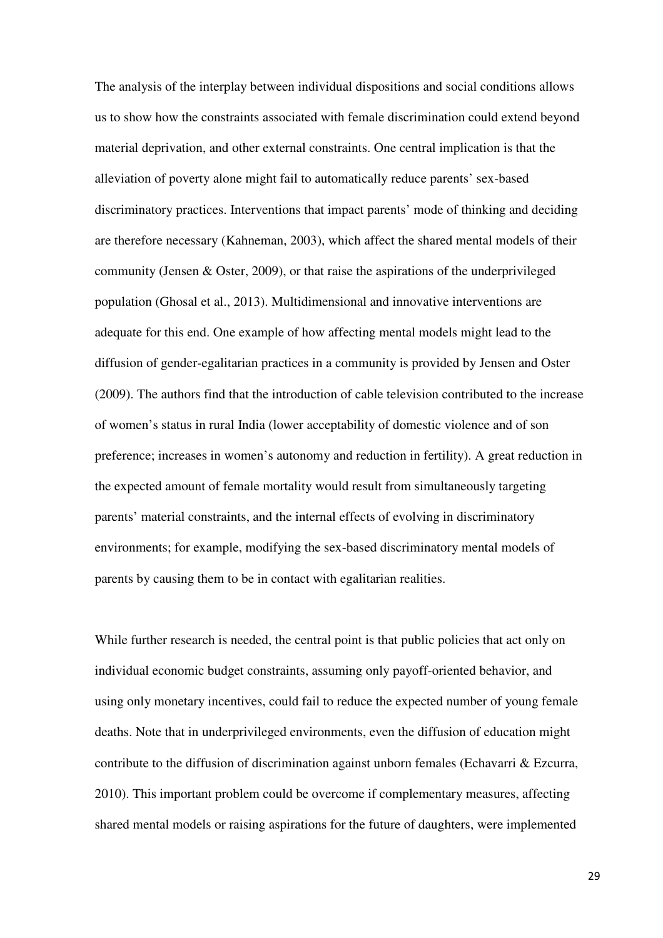The analysis of the interplay between individual dispositions and social conditions allows us to show how the constraints associated with female discrimination could extend beyond material deprivation, and other external constraints. One central implication is that the alleviation of poverty alone might fail to automatically reduce parents' sex-based discriminatory practices. Interventions that impact parents' mode of thinking and deciding are therefore necessary (Kahneman, 2003), which affect the shared mental models of their community (Jensen & Oster, 2009), or that raise the aspirations of the underprivileged population (Ghosal et al., 2013). Multidimensional and innovative interventions are adequate for this end. One example of how affecting mental models might lead to the diffusion of gender-egalitarian practices in a community is provided by Jensen and Oster (2009). The authors find that the introduction of cable television contributed to the increase of women's status in rural India (lower acceptability of domestic violence and of son preference; increases in women's autonomy and reduction in fertility). A great reduction in the expected amount of female mortality would result from simultaneously targeting parents' material constraints, and the internal effects of evolving in discriminatory environments; for example, modifying the sex-based discriminatory mental models of parents by causing them to be in contact with egalitarian realities.

While further research is needed, the central point is that public policies that act only on individual economic budget constraints, assuming only payoff-oriented behavior, and using only monetary incentives, could fail to reduce the expected number of young female deaths. Note that in underprivileged environments, even the diffusion of education might contribute to the diffusion of discrimination against unborn females (Echavarri & Ezcurra, 2010). This important problem could be overcome if complementary measures, affecting shared mental models or raising aspirations for the future of daughters, were implemented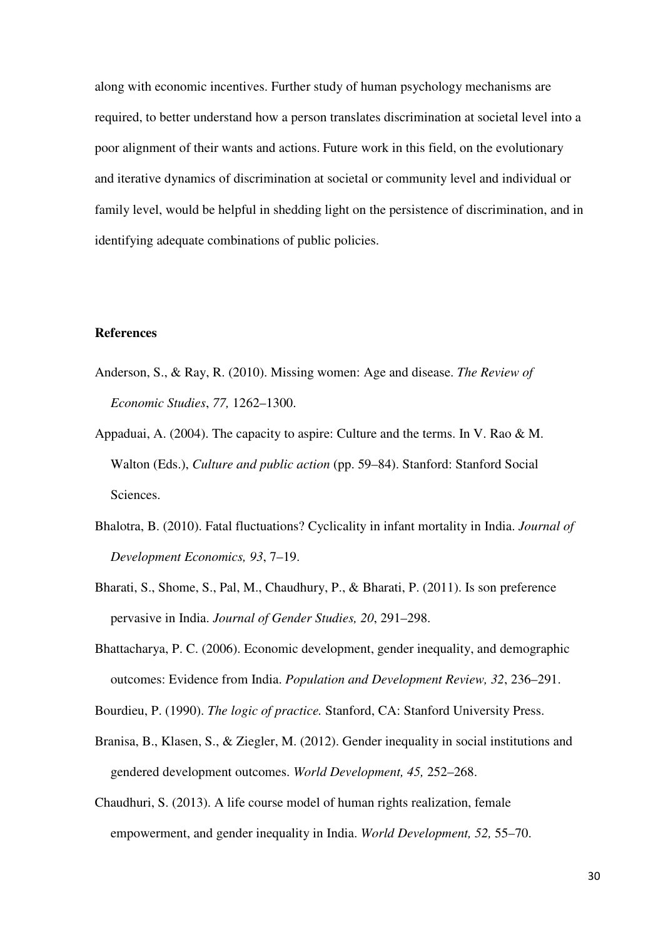along with economic incentives. Further study of human psychology mechanisms are required, to better understand how a person translates discrimination at societal level into a poor alignment of their wants and actions. Future work in this field, on the evolutionary and iterative dynamics of discrimination at societal or community level and individual or family level, would be helpful in shedding light on the persistence of discrimination, and in identifying adequate combinations of public policies.

#### **References**

- Anderson, S., & Ray, R. (2010). Missing women: Age and disease. *The Review of Economic Studies*, *77,* 1262–1300.
- Appaduai, A. (2004). The capacity to aspire: Culture and the terms. In V. Rao & M. Walton (Eds.), *Culture and public action* (pp. 59–84). Stanford: Stanford Social Sciences.
- Bhalotra, B. (2010). Fatal fluctuations? Cyclicality in infant mortality in India. *Journal of Development Economics, 93*, 7–19.
- Bharati, S., Shome, S., Pal, M., Chaudhury, P., & Bharati, P. (2011). Is son preference pervasive in India. *Journal of Gender Studies, 20*, 291–298.
- Bhattacharya, P. C. (2006). Economic development, gender inequality, and demographic outcomes: Evidence from India. *Population and Development Review, 32*, 236–291.
- Bourdieu, P. (1990). *The logic of practice.* Stanford, CA: Stanford University Press.
- Branisa, B., Klasen, S., & Ziegler, M. (2012). Gender inequality in social institutions and gendered development outcomes. *World Development, 45,* 252–268.
- Chaudhuri, S. (2013). A life course model of human rights realization, female empowerment, and gender inequality in India. *World Development, 52,* 55–70.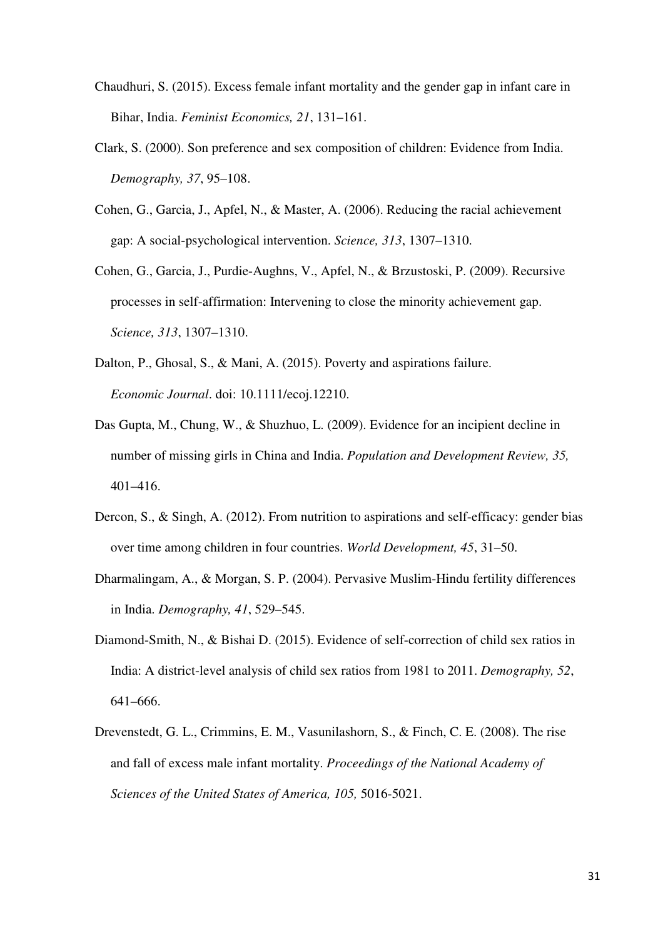- Chaudhuri, S. (2015). Excess female infant mortality and the gender gap in infant care in Bihar, India. *Feminist Economics, 21*, 131–161.
- Clark, S. (2000). Son preference and sex composition of children: Evidence from India. *Demography, 37*, 95–108.
- Cohen, G., Garcia, J., Apfel, N., & Master, A. (2006). Reducing the racial achievement gap: A social-psychological intervention. *Science, 313*, 1307–1310.
- Cohen, G., Garcia, J., Purdie-Aughns, V., Apfel, N., & Brzustoski, P. (2009). Recursive processes in self-affirmation: Intervening to close the minority achievement gap. *Science, 313*, 1307–1310.
- Dalton, P., Ghosal, S., & Mani, A. (2015). Poverty and aspirations failure. *Economic Journal*. doi: 10.1111/ecoj.12210.
- Das Gupta, M., Chung, W., & Shuzhuo, L. (2009). Evidence for an incipient decline in number of missing girls in China and India. *Population and Development Review, 35,* 401–416.
- Dercon, S., & Singh, A. (2012). From nutrition to aspirations and self-efficacy: gender bias over time among children in four countries. *World Development, 45*, 31–50.
- Dharmalingam, A., & Morgan, S. P. (2004). Pervasive Muslim-Hindu fertility differences in India. *Demography, 41*, 529–545.
- Diamond-Smith, N., & Bishai D. (2015). Evidence of self-correction of child sex ratios in India: A district-level analysis of child sex ratios from 1981 to 2011. *Demography, 52*, 641–666.
- Drevenstedt, G. L., Crimmins, E. M., Vasunilashorn, S., & Finch, C. E. (2008). The rise and fall of excess male infant mortality. *Proceedings of the National Academy of Sciences of the United States of America, 105,* 5016-5021.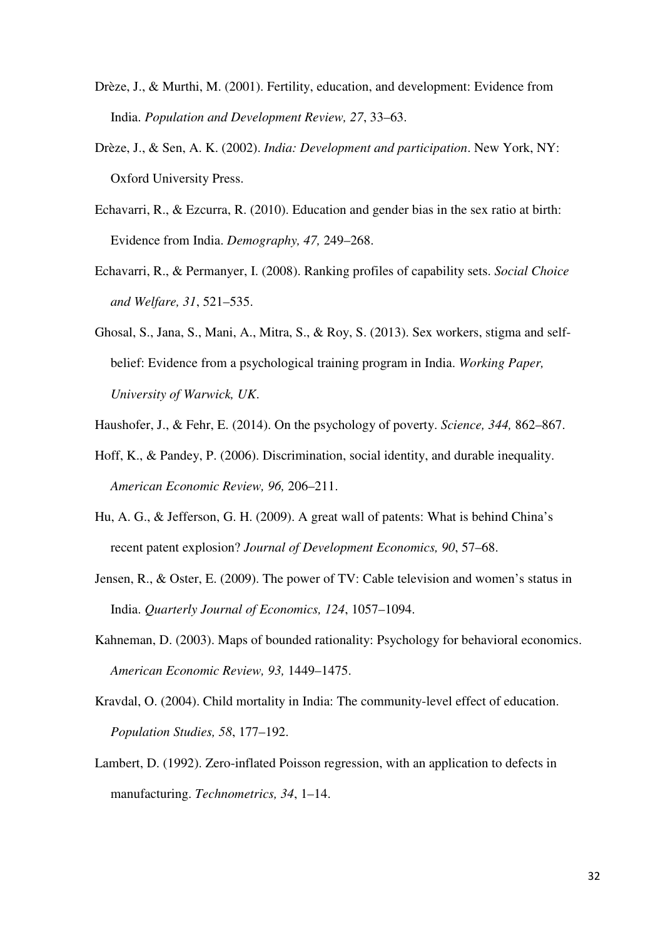- Drèze, J., & Murthi, M. (2001). Fertility, education, and development: Evidence from India. *Population and Development Review, 27*, 33–63.
- Drèze, J., & Sen, A. K. (2002). *India: Development and participation*. New York, NY: Oxford University Press.
- Echavarri, R., & Ezcurra, R. (2010). Education and gender bias in the sex ratio at birth: Evidence from India. *Demography, 47,* 249–268.
- Echavarri, R., & Permanyer, I. (2008). Ranking profiles of capability sets. *Social Choice and Welfare, 31*, 521–535.
- Ghosal, S., Jana, S., Mani, A., Mitra, S., & Roy, S. (2013). Sex workers, stigma and selfbelief: Evidence from a psychological training program in India. *Working Paper, University of Warwick, UK*.
- Haushofer, J., & Fehr, E. (2014). On the psychology of poverty. *Science, 344,* 862–867.
- Hoff, K., & Pandey, P. (2006). Discrimination, social identity, and durable inequality. *American Economic Review, 96,* 206–211.
- Hu, A. G., & Jefferson, G. H. (2009). A great wall of patents: What is behind China's recent patent explosion? *Journal of Development Economics, 90*, 57–68.
- Jensen, R., & Oster, E. (2009). The power of TV: Cable television and women's status in India. *Quarterly Journal of Economics, 124*, 1057–1094.
- Kahneman, D. (2003). Maps of bounded rationality: Psychology for behavioral economics. *American Economic Review, 93,* 1449–1475.
- Kravdal, O. (2004). Child mortality in India: The community-level effect of education. *Population Studies, 58*, 177–192.
- Lambert, D. (1992). Zero-inflated Poisson regression, with an application to defects in manufacturing. *Technometrics, 34*, 1–14.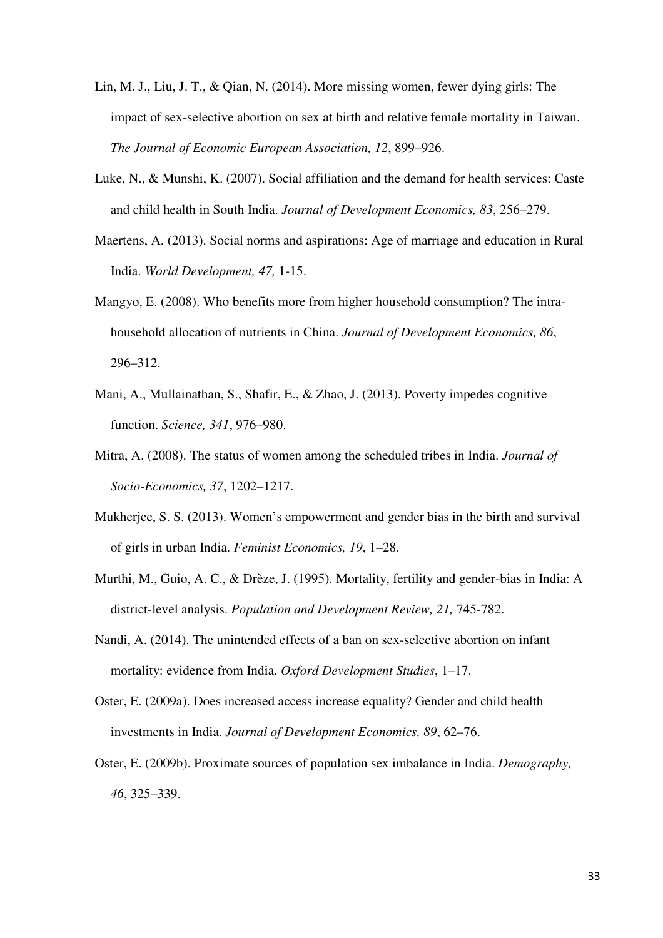- Lin, M. J., Liu, J. T., & Qian, N. (2014). More missing women, fewer dying girls: The impact of sex-selective abortion on sex at birth and relative female mortality in Taiwan. *The Journal of Economic European Association, 12*, 899–926.
- Luke, N., & Munshi, K. (2007). Social affiliation and the demand for health services: Caste and child health in South India. *Journal of Development Economics, 83*, 256–279.
- Maertens, A. (2013). Social norms and aspirations: Age of marriage and education in Rural India. *World Development, 47,* 1-15.
- Mangyo, E. (2008). Who benefits more from higher household consumption? The intrahousehold allocation of nutrients in China. *Journal of Development Economics, 86*, 296–312.
- Mani, A., Mullainathan, S., Shafir, E., & Zhao, J. (2013). Poverty impedes cognitive function. *Science, 341*, 976–980.
- Mitra, A. (2008). The status of women among the scheduled tribes in India. *Journal of Socio-Economics, 37*, 1202–1217.
- Mukherjee, S. S. (2013). Women's empowerment and gender bias in the birth and survival of girls in urban India. *Feminist Economics, 19*, 1–28.
- Murthi, M., Guio, A. C., & Drèze, J. (1995). Mortality, fertility and gender-bias in India: A district-level analysis. *Population and Development Review, 21,* 745-782.
- Nandi, A. (2014). The unintended effects of a ban on sex-selective abortion on infant mortality: evidence from India. *Oxford Development Studies*, 1–17.
- Oster, E. (2009a). Does increased access increase equality? Gender and child health investments in India. *Journal of Development Economics, 89*, 62–76.
- Oster, E. (2009b). Proximate sources of population sex imbalance in India. *Demography, 46*, 325–339.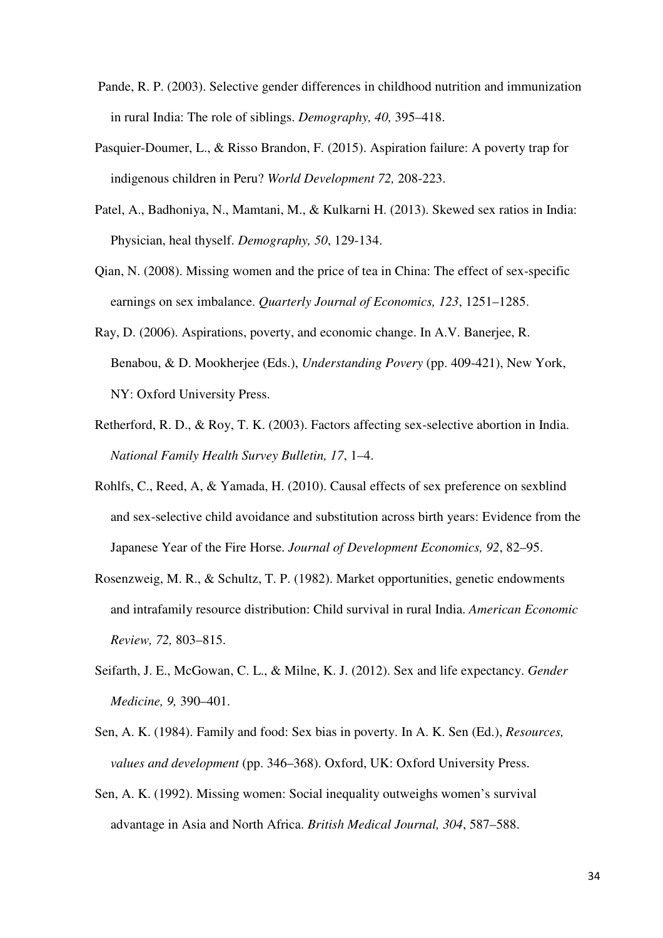- Pande, R. P. (2003). Selective gender differences in childhood nutrition and immunization in rural India: The role of siblings. *Demography, 40,* 395–418.
- Pasquier-Doumer, L., & Risso Brandon, F. (2015). Aspiration failure: A poverty trap for indigenous children in Peru? *World Development 72,* 208-223.
- Patel, A., Badhoniya, N., Mamtani, M., & Kulkarni H. (2013). Skewed sex ratios in India: Physician, heal thyself. *Demography, 50*, 129-134.
- Qian, N. (2008). Missing women and the price of tea in China: The effect of sex-specific earnings on sex imbalance. *Quarterly Journal of Economics, 123*, 1251–1285.
- Ray, D. (2006). Aspirations, poverty, and economic change. In A.V. Banerjee, R. Benabou, & D. Mookherjee (Eds.), *Understanding Povery* (pp. 409-421), New York, NY: Oxford University Press.
- Retherford, R. D., & Roy, T. K. (2003). Factors affecting sex-selective abortion in India. *National Family Health Survey Bulletin, 17*, 1–4.
- Rohlfs, C., Reed, A, & Yamada, H. (2010). Causal effects of sex preference on sexblind and sex-selective child avoidance and substitution across birth years: Evidence from the Japanese Year of the Fire Horse. *Journal of Development Economics, 92*, 82–95.
- Rosenzweig, M. R., & Schultz, T. P. (1982). Market opportunities, genetic endowments and intrafamily resource distribution: Child survival in rural India. *American Economic Review, 72,* 803–815.
- Seifarth, J. E., McGowan, C. L., & Milne, K. J. (2012). Sex and life expectancy. *Gender Medicine, 9,* 390–401.
- Sen, A. K. (1984). Family and food: Sex bias in poverty. In A. K. Sen (Ed.), *Resources, values and development* (pp. 346–368). Oxford, UK: Oxford University Press.
- Sen, A. K. (1992). Missing women: Social inequality outweighs women's survival advantage in Asia and North Africa. *British Medical Journal, 304*, 587–588.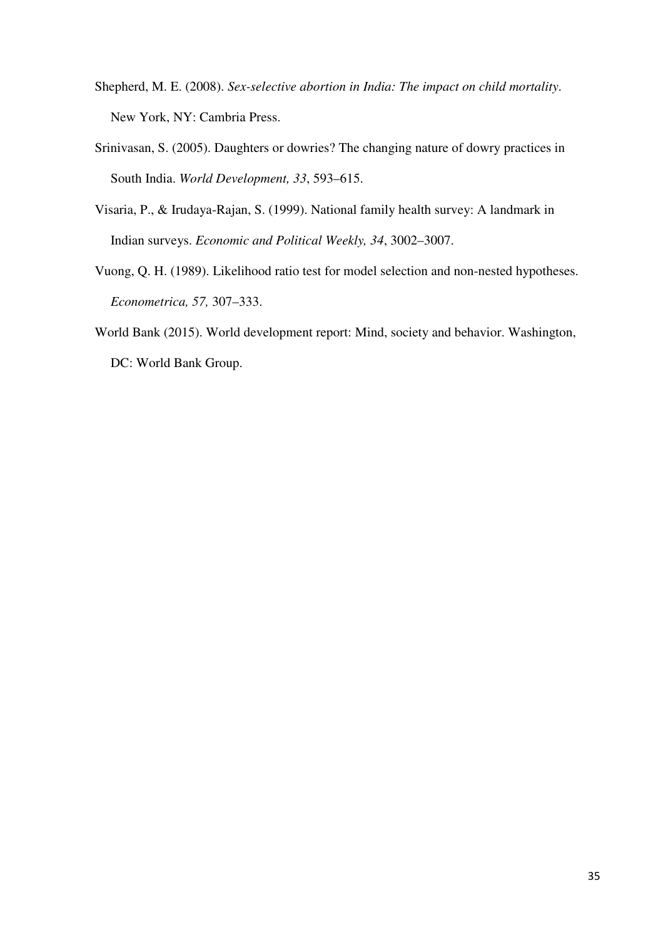- Shepherd, M. E. (2008). *Sex-selective abortion in India: The impact on child mortality*. New York, NY: Cambria Press.
- Srinivasan, S. (2005). Daughters or dowries? The changing nature of dowry practices in South India. *World Development, 33*, 593–615.
- Visaria, P., & Irudaya-Rajan, S. (1999). National family health survey: A landmark in Indian surveys. *Economic and Political Weekly, 34*, 3002–3007.
- Vuong, Q. H. (1989). Likelihood ratio test for model selection and non-nested hypotheses. *Econometrica, 57,* 307–333.
- World Bank (2015). World development report: Mind, society and behavior. Washington, DC: World Bank Group.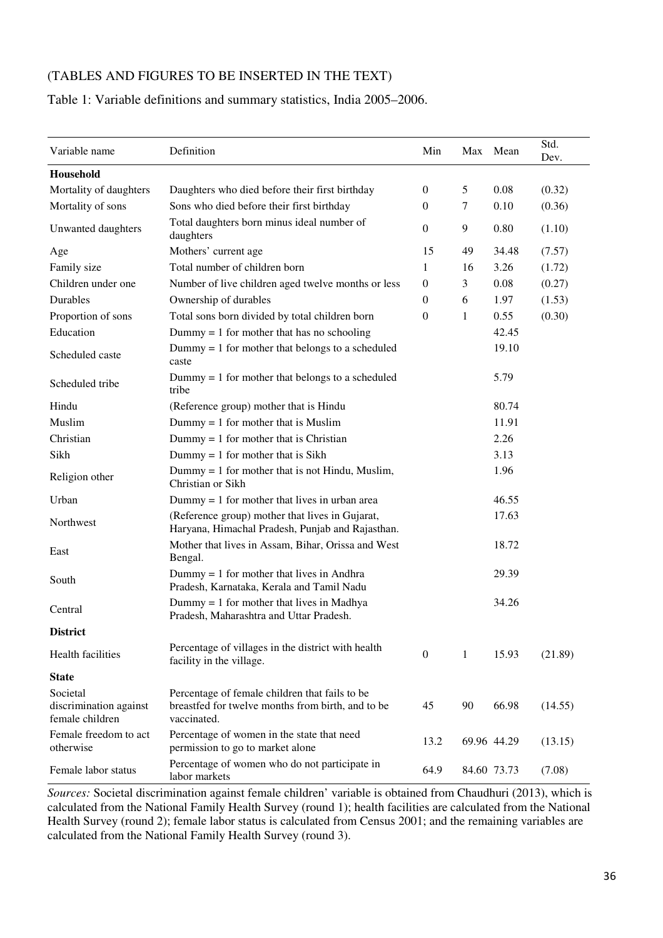# (TABLES AND FIGURES TO BE INSERTED IN THE TEXT)

# Table 1: Variable definitions and summary statistics, India 2005–2006.

| Variable name                                         | Definition                                                                                                         | Min              | Max | Mean        | Std.<br>Dev. |
|-------------------------------------------------------|--------------------------------------------------------------------------------------------------------------------|------------------|-----|-------------|--------------|
| Household                                             |                                                                                                                    |                  |     |             |              |
| Mortality of daughters                                | Daughters who died before their first birthday                                                                     | $\mathbf{0}$     | 5   | 0.08        | (0.32)       |
| Mortality of sons                                     | Sons who died before their first birthday                                                                          | 0                | 7   | 0.10        | (0.36)       |
| Unwanted daughters                                    | Total daughters born minus ideal number of<br>daughters                                                            | $\boldsymbol{0}$ | 9   | 0.80        | (1.10)       |
| Age                                                   | Mothers' current age                                                                                               | 15               | 49  | 34.48       | (7.57)       |
| Family size                                           | Total number of children born                                                                                      | 1                | 16  | 3.26        | (1.72)       |
| Children under one                                    | Number of live children aged twelve months or less                                                                 | $\boldsymbol{0}$ | 3   | 0.08        | (0.27)       |
| Durables                                              | Ownership of durables                                                                                              | $\boldsymbol{0}$ | 6   | 1.97        | (1.53)       |
| Proportion of sons                                    | Total sons born divided by total children born                                                                     | $\boldsymbol{0}$ | 1   | 0.55        | (0.30)       |
| Education                                             | Dummy $= 1$ for mother that has no schooling                                                                       |                  |     | 42.45       |              |
| Scheduled caste                                       | Dummy $= 1$ for mother that belongs to a scheduled<br>caste                                                        |                  |     | 19.10       |              |
| Scheduled tribe                                       | Dummy $= 1$ for mother that belongs to a scheduled<br>tribe                                                        |                  |     | 5.79        |              |
| Hindu                                                 | (Reference group) mother that is Hindu                                                                             |                  |     | 80.74       |              |
| Muslim                                                | $Dummy = 1$ for mother that is Muslim                                                                              |                  |     | 11.91       |              |
| Christian                                             | $Dummy = 1$ for mother that is Christian                                                                           |                  |     | 2.26        |              |
| Sikh                                                  | $Dummy = 1$ for mother that is Sikh                                                                                |                  |     | 3.13        |              |
| Religion other                                        | Dummy $= 1$ for mother that is not Hindu, Muslim,<br>Christian or Sikh                                             |                  |     | 1.96        |              |
| Urban                                                 | Dummy $= 1$ for mother that lives in urban area                                                                    |                  |     | 46.55       |              |
| Northwest                                             | (Reference group) mother that lives in Gujarat,<br>Haryana, Himachal Pradesh, Punjab and Rajasthan.                |                  |     | 17.63       |              |
| East                                                  | Mother that lives in Assam, Bihar, Orissa and West<br>Bengal.                                                      |                  |     | 18.72       |              |
| South                                                 | $Dummy = 1$ for mother that lives in Andhra<br>Pradesh, Karnataka, Kerala and Tamil Nadu                           |                  |     | 29.39       |              |
| Central                                               | $Dummy = 1$ for mother that lives in Madhya<br>Pradesh, Maharashtra and Uttar Pradesh.                             |                  |     | 34.26       |              |
| <b>District</b>                                       |                                                                                                                    |                  |     |             |              |
| Health facilities                                     | Percentage of villages in the district with health<br>facility in the village.                                     | $\overline{0}$   | 1   | 15.93       | (21.89)      |
| <b>State</b>                                          |                                                                                                                    |                  |     |             |              |
| Societal<br>discrimination against<br>female children | Percentage of female children that fails to be<br>breastfed for twelve months from birth, and to be<br>vaccinated. | 45               | 90  | 66.98       | (14.55)      |
| Female freedom to act<br>otherwise                    | Percentage of women in the state that need<br>permission to go to market alone                                     | 13.2             |     | 69.96 44.29 | (13.15)      |
| Female labor status                                   | Percentage of women who do not participate in<br>labor markets                                                     | 64.9             |     | 84.60 73.73 | (7.08)       |

*Sources:* Societal discrimination against female children' variable is obtained from Chaudhuri (2013), which is calculated from the National Family Health Survey (round 1); health facilities are calculated from the National Health Survey (round 2); female labor status is calculated from Census 2001; and the remaining variables are calculated from the National Family Health Survey (round 3).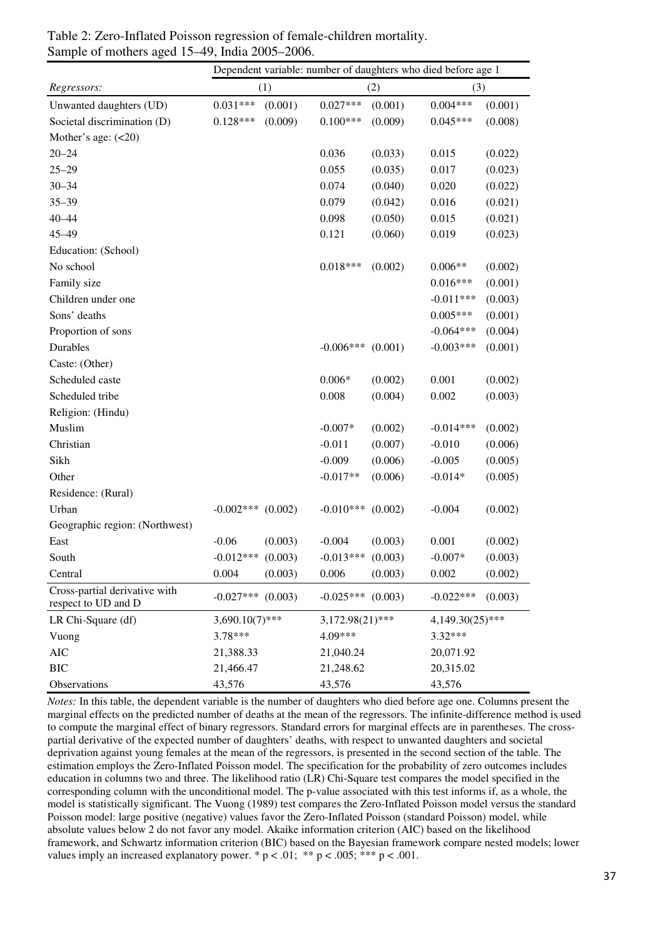|                                                      | Dependent variable: number of daughters who died before age 1 |         |                    |         |                 |         |
|------------------------------------------------------|---------------------------------------------------------------|---------|--------------------|---------|-----------------|---------|
| Regressors:                                          | (1)<br>(2)                                                    |         |                    | (3)     |                 |         |
| Unwanted daughters (UD)                              | $0.031***$                                                    | (0.001) | $0.027***$         | (0.001) | $0.004***$      | (0.001) |
| Societal discrimination (D)                          | $0.128***$                                                    | (0.009) | $0.100***$         | (0.009) | $0.045***$      | (0.008) |
| Mother's age: $(<20)$                                |                                                               |         |                    |         |                 |         |
| $20 - 24$                                            |                                                               |         | 0.036              | (0.033) | 0.015           | (0.022) |
| $25 - 29$                                            |                                                               |         | 0.055              | (0.035) | 0.017           | (0.023) |
| $30 - 34$                                            |                                                               |         | 0.074              | (0.040) | 0.020           | (0.022) |
| $35 - 39$                                            |                                                               |         | 0.079              | (0.042) | 0.016           | (0.021) |
| $40 - 44$                                            |                                                               |         | 0.098              | (0.050) | 0.015           | (0.021) |
| $45 - 49$                                            |                                                               |         | 0.121              | (0.060) | 0.019           | (0.023) |
| Education: (School)                                  |                                                               |         |                    |         |                 |         |
| No school                                            |                                                               |         | $0.018***$         | (0.002) | $0.006**$       | (0.002) |
| Family size                                          |                                                               |         |                    |         | $0.016***$      | (0.001) |
| Children under one                                   |                                                               |         |                    |         | $-0.011***$     | (0.003) |
| Sons' deaths                                         |                                                               |         |                    |         | $0.005***$      | (0.001) |
| Proportion of sons                                   |                                                               |         |                    |         | $-0.064***$     | (0.004) |
| Durables                                             |                                                               |         | $-0.006***$        | (0.001) | $-0.003***$     | (0.001) |
| Caste: (Other)                                       |                                                               |         |                    |         |                 |         |
| Scheduled caste                                      |                                                               |         | $0.006*$           | (0.002) | 0.001           | (0.002) |
| Scheduled tribe                                      |                                                               |         | 0.008              | (0.004) | 0.002           | (0.003) |
| Religion: (Hindu)                                    |                                                               |         |                    |         |                 |         |
| Muslim                                               |                                                               |         | $-0.007*$          | (0.002) | $-0.014***$     | (0.002) |
| Christian                                            |                                                               |         | $-0.011$           | (0.007) | $-0.010$        | (0.006) |
| Sikh                                                 |                                                               |         | $-0.009$           | (0.006) | $-0.005$        | (0.005) |
| Other                                                |                                                               |         | $-0.017**$         | (0.006) | $-0.014*$       | (0.005) |
| Residence: (Rural)                                   |                                                               |         |                    |         |                 |         |
| Urban                                                | $-0.002***$                                                   | (0.002) | $-0.010***$        | (0.002) | $-0.004$        | (0.002) |
| Geographic region: (Northwest)                       |                                                               |         |                    |         |                 |         |
| East                                                 | $-0.06$                                                       | (0.003) | $-0.004$           | (0.003) | 0.001           | (0.002) |
| South                                                | $-0.012***$                                                   | (0.003) | $-0.013***$        | (0.003) | $-0.007*$       | (0.003) |
| Central                                              | 0.004                                                         | (0.003) | 0.006              | (0.003) | 0.002           | (0.002) |
| Cross-partial derivative with<br>respect to UD and D | $-0.027***$                                                   | (0.003) | $-0.025***$        | (0.003) | $-0.022***$     | (0.003) |
| LR Chi-Square (df)                                   | $3,690.10(7)$ ***                                             |         | $3,172.98(21)$ *** |         | 4,149.30(25)*** |         |
| Vuong                                                | 3.78***                                                       |         | 4.09***            |         | $3.32***$       |         |
| <b>AIC</b>                                           | 21,388.33                                                     |         | 21,040.24          |         | 20,071.92       |         |
| <b>BIC</b>                                           | 21,466.47                                                     |         | 21,248.62          |         | 20,315.02       |         |
| Observations                                         | 43,576                                                        |         | 43,576             |         | 43,576          |         |

Table 2: Zero-Inflated Poisson regression of female-children mortality. Sample of mothers aged 15–49, India 2005–2006.

*Notes:* In this table, the dependent variable is the number of daughters who died before age one. Columns present the marginal effects on the predicted number of deaths at the mean of the regressors. The infinite-difference method is used to compute the marginal effect of binary regressors. Standard errors for marginal effects are in parentheses. The crosspartial derivative of the expected number of daughters' deaths, with respect to unwanted daughters and societal deprivation against young females at the mean of the regressors, is presented in the second section of the table. The estimation employs the Zero-Inflated Poisson model. The specification for the probability of zero outcomes includes education in columns two and three. The likelihood ratio (LR) Chi-Square test compares the model specified in the corresponding column with the unconditional model. The p-value associated with this test informs if, as a whole, the model is statistically significant. The Vuong (1989) test compares the Zero-Inflated Poisson model versus the standard Poisson model: large positive (negative) values favor the Zero-Inflated Poisson (standard Poisson) model, while absolute values below 2 do not favor any model. Akaike information criterion (AIC) based on the likelihood framework, and Schwartz information criterion (BIC) based on the Bayesian framework compare nested models; lower values imply an increased explanatory power. \*  $p < .01$ ; \*\*  $p < .005$ ; \*\*\*  $p < .001$ .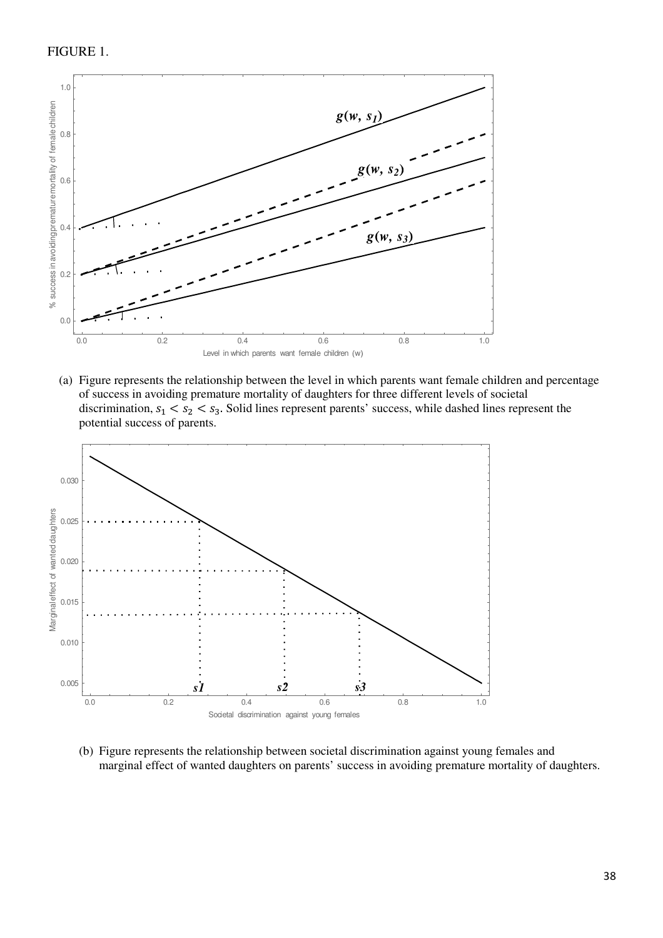

(a) Figure represents the relationship between the level in which parents want female children and percentage of success in avoiding premature mortality of daughters for three different levels of societal discrimination,  $s_1 < s_2 < s_3$ . Solid lines represent parents' success, while dashed lines represent the potential success of parents.



(b) Figure represents the relationship between societal discrimination against young females and marginal effect of wanted daughters on parents' success in avoiding premature mortality of daughters.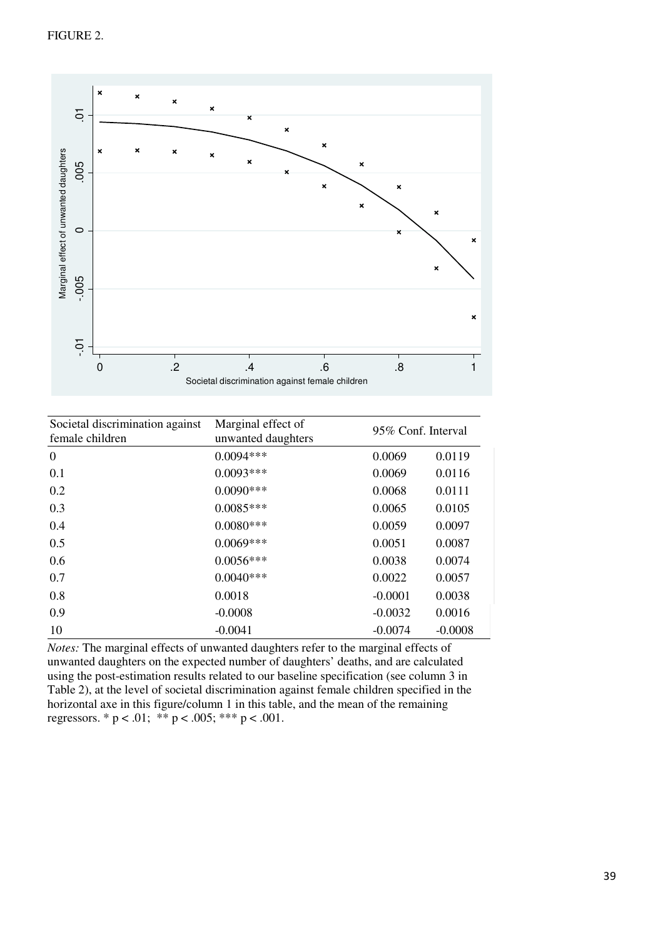

| $-0$ .<br>$\overline{0}$                                                                                                                                                                                                                                                                                                                                                                                                                                                                                                | $\overline{.2}$ | .4<br>Societal discrimination against female children | 6.6    | $\overline{8}$     | ×<br>1    |
|-------------------------------------------------------------------------------------------------------------------------------------------------------------------------------------------------------------------------------------------------------------------------------------------------------------------------------------------------------------------------------------------------------------------------------------------------------------------------------------------------------------------------|-----------------|-------------------------------------------------------|--------|--------------------|-----------|
| Societal discrimination against<br>female children                                                                                                                                                                                                                                                                                                                                                                                                                                                                      |                 | Marginal effect of<br>unwanted daughters              |        | 95% Conf. Interval |           |
| $\Omega$                                                                                                                                                                                                                                                                                                                                                                                                                                                                                                                |                 | $0.0094***$                                           |        | 0.0069             | 0.0119    |
| 0.1                                                                                                                                                                                                                                                                                                                                                                                                                                                                                                                     |                 | $0.0093***$                                           |        | 0.0069             | 0.0116    |
| 0.2                                                                                                                                                                                                                                                                                                                                                                                                                                                                                                                     |                 | $0.0090***$                                           |        | 0.0068             | 0.0111    |
| 0.3                                                                                                                                                                                                                                                                                                                                                                                                                                                                                                                     |                 | $0.0085***$                                           |        | 0.0065             | 0.0105    |
| 0.4                                                                                                                                                                                                                                                                                                                                                                                                                                                                                                                     |                 | $0.0080***$                                           |        | 0.0059             | 0.0097    |
| 0.5                                                                                                                                                                                                                                                                                                                                                                                                                                                                                                                     |                 | $0.0069***$                                           | 0.0051 | 0.0087             |           |
| 0.6                                                                                                                                                                                                                                                                                                                                                                                                                                                                                                                     |                 | $0.0056***$                                           |        | 0.0038             | 0.0074    |
| 0.7                                                                                                                                                                                                                                                                                                                                                                                                                                                                                                                     |                 | $0.0040***$                                           |        | 0.0022             | 0.0057    |
| 0.8                                                                                                                                                                                                                                                                                                                                                                                                                                                                                                                     |                 | 0.0018                                                |        | $-0.0001$          | 0.0038    |
| 0.9                                                                                                                                                                                                                                                                                                                                                                                                                                                                                                                     |                 | $-0.0008$                                             |        | $-0.0032$          | 0.0016    |
| 10                                                                                                                                                                                                                                                                                                                                                                                                                                                                                                                      |                 | $-0.0041$                                             |        | $-0.0074$          | $-0.0008$ |
| Notes: The marginal effects of unwanted daughters refer to the marginal effects of<br>unwanted daughters on the expected number of daughters' deaths, and are calculated<br>using the post-estimation results related to our baseline specification (see column 3 in<br>Table 2), at the level of societal discrimination against female children specified in the<br>horizontal axe in this figure/column 1 in this table, and the mean of the remaining<br>regressors. * $p < .01$ ; ** $p < .005$ ; *** $p < .001$ . |                 |                                                       |        |                    |           |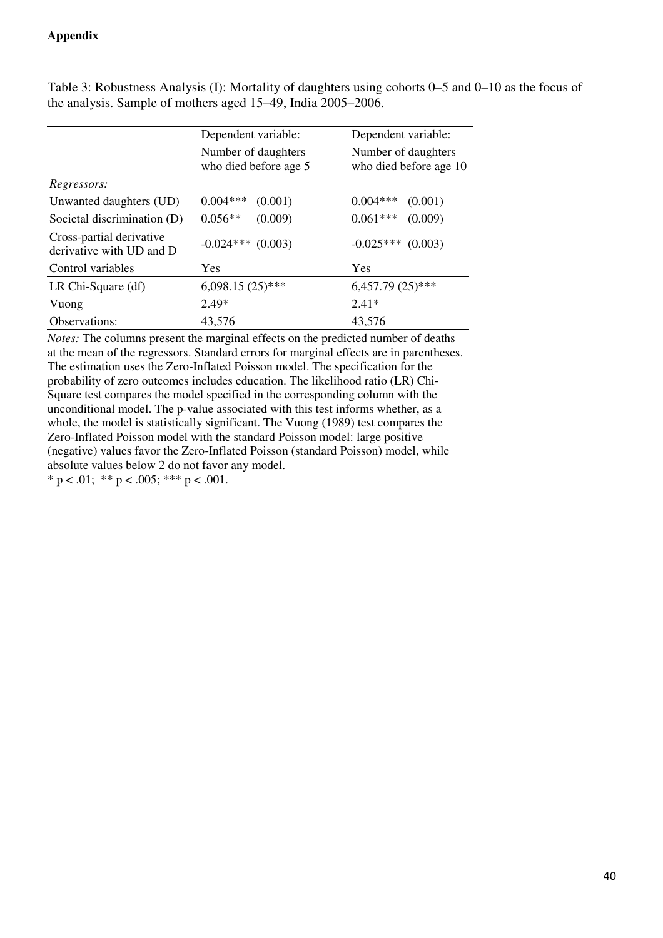# **Appendix**

|                                                      | Dependent variable:                          | Dependent variable:                           |
|------------------------------------------------------|----------------------------------------------|-----------------------------------------------|
|                                                      | Number of daughters<br>who died before age 5 | Number of daughters<br>who died before age 10 |
| Regressors:                                          |                                              |                                               |
| Unwanted daughters (UD)                              | $0.004***$<br>(0.001)                        | $0.004***$<br>(0.001)                         |
| Societal discrimination (D)                          | $0.056**$<br>(0.009)                         | $0.061***$<br>(0.009)                         |
| Cross-partial derivative<br>derivative with UD and D | $-0.024***$ (0.003)                          | $-0.025***$<br>(0.003)                        |
| Control variables                                    | Yes                                          | Yes                                           |
| LR Chi-Square (df)                                   | $6,098.15(25)$ ***                           | $6,457.79(25)$ ***                            |
| Vuong                                                | $2.49*$                                      | $2.41*$                                       |
| Observations:                                        | 43,576                                       | 43,576                                        |

Table 3: Robustness Analysis (I): Mortality of daughters using cohorts 0–5 and 0–10 as the focus of the analysis. Sample of mothers aged 15–49, India 2005–2006.

*Notes:* The columns present the marginal effects on the predicted number of deaths at the mean of the regressors. Standard errors for marginal effects are in parentheses. The estimation uses the Zero-Inflated Poisson model. The specification for the probability of zero outcomes includes education. The likelihood ratio (LR) Chi-Square test compares the model specified in the corresponding column with the unconditional model. The p-value associated with this test informs whether, as a whole, the model is statistically significant. The Vuong (1989) test compares the Zero-Inflated Poisson model with the standard Poisson model: large positive (negative) values favor the Zero-Inflated Poisson (standard Poisson) model, while absolute values below 2 do not favor any model. \*  $p < .01$ ; \*\*  $p < .005$ ; \*\*\*  $p < .001$ .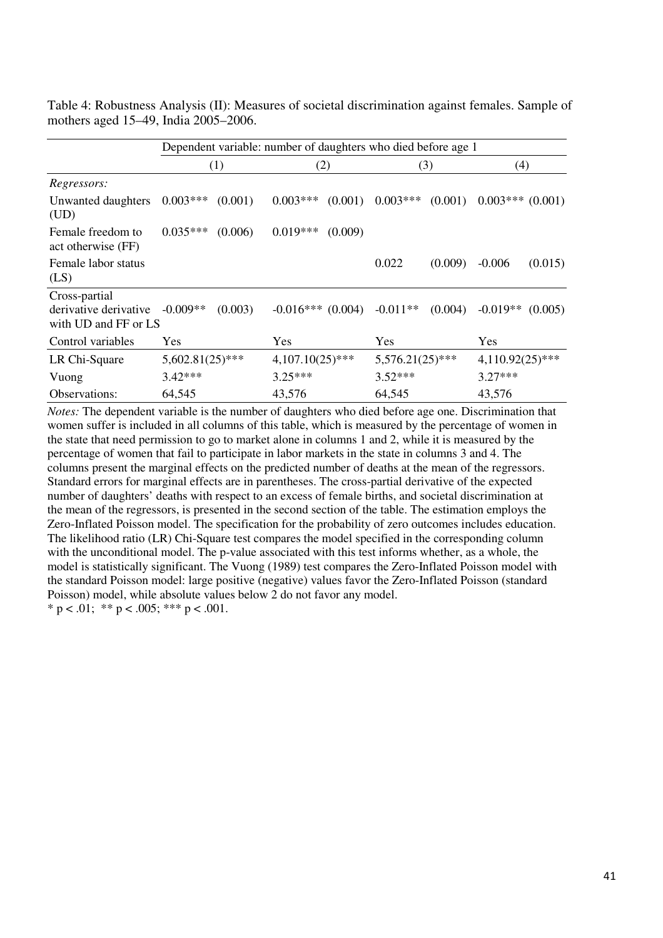Table 4: Robustness Analysis (II): Measures of societal discrimination against females. Sample of mothers aged 15–49, India 2005–2006.

|                                                                | Dependent variable: number of daughters who died before age 1 |         |                     |         |                    |         |                    |         |
|----------------------------------------------------------------|---------------------------------------------------------------|---------|---------------------|---------|--------------------|---------|--------------------|---------|
|                                                                | (1)                                                           |         | (2)                 |         | (3)                |         | (4)                |         |
| Regressors:                                                    |                                                               |         |                     |         |                    |         |                    |         |
| Unwanted daughters<br>(UD)                                     | $0.003***$                                                    | (0.001) | $0.003***$          | (0.001) | $0.003***$         | (0.001) | $0.003***(0.001)$  |         |
| Female freedom to<br>act otherwise (FF)                        | $0.035***$                                                    | (0.006) | $0.019***$          | (0.009) |                    |         |                    |         |
| Female labor status<br>(LS)                                    |                                                               |         |                     |         | 0.022              | (0.009) | $-0.006$           | (0.015) |
| Cross-partial<br>derivative derivative<br>with UD and FF or LS | $-0.009**$                                                    | (0.003) | $-0.016***$ (0.004) |         | $-0.011**$         | (0.004) | $-0.019**$         | (0.005) |
| Control variables                                              | Yes                                                           |         | <b>Yes</b>          |         | Yes                |         | <b>Yes</b>         |         |
| LR Chi-Square                                                  | $5,602.81(25)$ ***                                            |         | $4,107.10(25)$ ***  |         | $5,576.21(25)$ *** |         | $4,110.92(25)$ *** |         |
| Vuong                                                          | $3.42***$                                                     |         | $3.25***$           |         | $3.52***$          |         | $3.27***$          |         |
| Observations:                                                  | 64,545                                                        |         | 43,576              |         | 64,545             |         | 43,576             |         |

*Notes:* The dependent variable is the number of daughters who died before age one. Discrimination that women suffer is included in all columns of this table, which is measured by the percentage of women in the state that need permission to go to market alone in columns 1 and 2, while it is measured by the percentage of women that fail to participate in labor markets in the state in columns 3 and 4. The columns present the marginal effects on the predicted number of deaths at the mean of the regressors. Standard errors for marginal effects are in parentheses. The cross-partial derivative of the expected number of daughters' deaths with respect to an excess of female births, and societal discrimination at the mean of the regressors, is presented in the second section of the table. The estimation employs the Zero-Inflated Poisson model. The specification for the probability of zero outcomes includes education. The likelihood ratio (LR) Chi-Square test compares the model specified in the corresponding column with the unconditional model. The p-value associated with this test informs whether, as a whole, the model is statistically significant. The Vuong (1989) test compares the Zero-Inflated Poisson model with the standard Poisson model: large positive (negative) values favor the Zero-Inflated Poisson (standard Poisson) model, while absolute values below 2 do not favor any model. \* p < .01; \*\* p < .005; \*\*\* p < .001.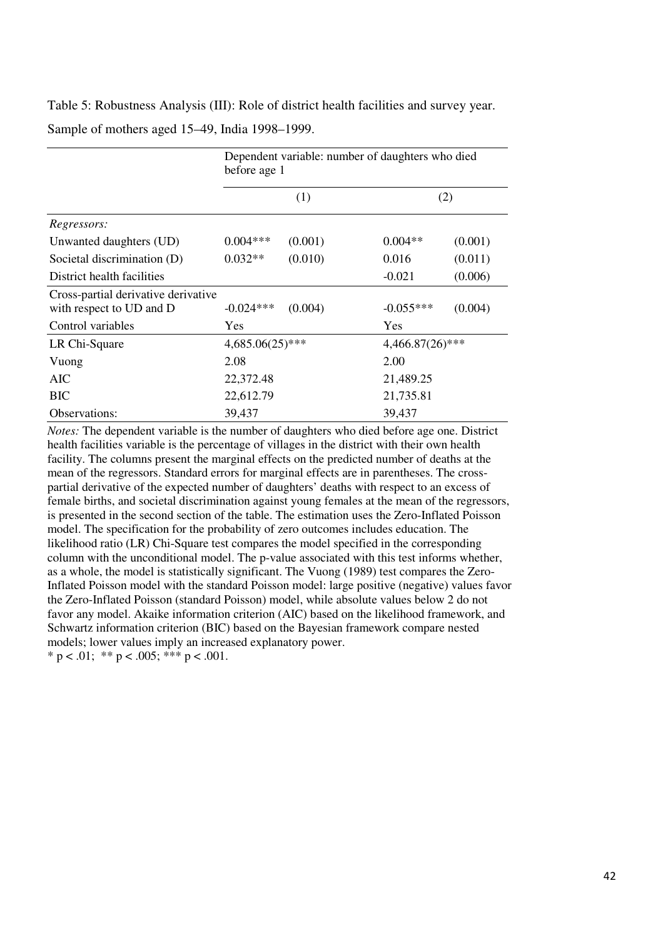Table 5: Robustness Analysis (III): Role of district health facilities and survey year. Sample of mothers aged 15–49, India 1998–1999.

|                                                                 | Dependent variable: number of daughters who died<br>before age 1 |         |                    |         |  |  |  |  |
|-----------------------------------------------------------------|------------------------------------------------------------------|---------|--------------------|---------|--|--|--|--|
|                                                                 |                                                                  | (1)     |                    | (2)     |  |  |  |  |
| Regressors:                                                     |                                                                  |         |                    |         |  |  |  |  |
| Unwanted daughters (UD)                                         | $0.004***$                                                       | (0.001) | $0.004**$          | (0.001) |  |  |  |  |
| Societal discrimination (D)                                     | $0.032**$                                                        | (0.010) | 0.016              | (0.011) |  |  |  |  |
| District health facilities                                      |                                                                  |         | $-0.021$           | (0.006) |  |  |  |  |
| Cross-partial derivative derivative<br>with respect to UD and D | $-0.024***$                                                      | (0.004) | $-0.055***$        | (0.004) |  |  |  |  |
| Control variables                                               | Yes                                                              |         | Yes                |         |  |  |  |  |
| LR Chi-Square                                                   | $4,685.06(25)$ ***                                               |         | $4,466.87(26)$ *** |         |  |  |  |  |
| Vuong                                                           | 2.08                                                             |         | 2.00               |         |  |  |  |  |
| AIC                                                             | 22,372.48                                                        |         | 21,489.25          |         |  |  |  |  |
| <b>BIC</b>                                                      | 22,612.79                                                        |         | 21,735.81          |         |  |  |  |  |
| Observations:                                                   | 39,437                                                           |         | 39,437             |         |  |  |  |  |

*Notes:* The dependent variable is the number of daughters who died before age one. District health facilities variable is the percentage of villages in the district with their own health facility. The columns present the marginal effects on the predicted number of deaths at the mean of the regressors. Standard errors for marginal effects are in parentheses. The crosspartial derivative of the expected number of daughters' deaths with respect to an excess of female births, and societal discrimination against young females at the mean of the regressors, is presented in the second section of the table. The estimation uses the Zero-Inflated Poisson model. The specification for the probability of zero outcomes includes education. The likelihood ratio (LR) Chi-Square test compares the model specified in the corresponding column with the unconditional model. The p-value associated with this test informs whether, as a whole, the model is statistically significant. The Vuong (1989) test compares the Zero-Inflated Poisson model with the standard Poisson model: large positive (negative) values favor the Zero-Inflated Poisson (standard Poisson) model, while absolute values below 2 do not favor any model. Akaike information criterion (AIC) based on the likelihood framework, and Schwartz information criterion (BIC) based on the Bayesian framework compare nested models; lower values imply an increased explanatory power. \* p < .01; \*\* p < .005; \*\*\* p < .001.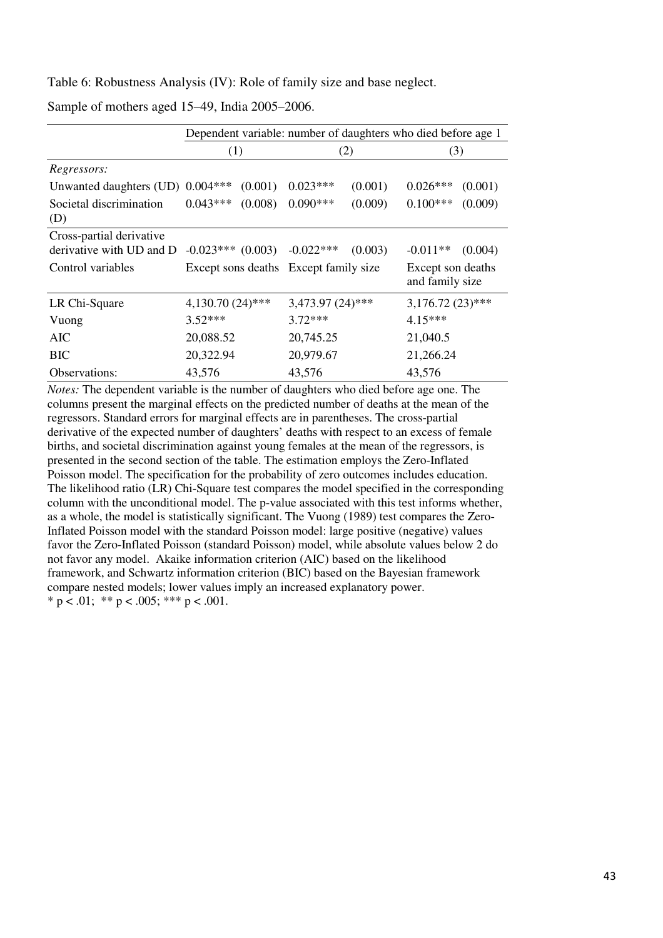Table 6: Robustness Analysis (IV): Role of family size and base neglect.

Sample of mothers aged 15–49, India 2005–2006.

|                                                                             |                                       | Dependent variable: number of daughters who died before age 1 |            |                    |                                      |         |  |
|-----------------------------------------------------------------------------|---------------------------------------|---------------------------------------------------------------|------------|--------------------|--------------------------------------|---------|--|
|                                                                             | (1)                                   |                                                               | (2)        |                    | (3)                                  |         |  |
| Regressors:                                                                 |                                       |                                                               |            |                    |                                      |         |  |
| Unwanted daughters (UD) 0.004***                                            |                                       | (0.001)                                                       | $0.023***$ | (0.001)            | $0.026***$                           | (0.001) |  |
| Societal discrimination<br>(D)                                              | $0.043***$                            | (0.008)                                                       | $0.090***$ | (0.009)            | $0.100***$                           | (0.009) |  |
| Cross-partial derivative<br>derivative with UD and D<br>$-0.023***$ (0.003) |                                       | $-0.022***$                                                   | (0.003)    | $-0.011**$         | (0.004)                              |         |  |
| Control variables                                                           | Except sons deaths Except family size |                                                               |            |                    | Except son deaths<br>and family size |         |  |
| $4,130.70(24)$ ***<br>LR Chi-Square                                         |                                       | 3,473.97 (24)***                                              |            | $3,176.72(23)$ *** |                                      |         |  |
| $3.52***$<br>Vuong                                                          |                                       | $3.72***$                                                     |            | $4.15***$          |                                      |         |  |
| AIC<br>20,088.52                                                            |                                       | 20,745.25                                                     |            | 21,040.5           |                                      |         |  |
| 20,322.94<br>BIC                                                            |                                       | 20,979.67                                                     |            | 21,266.24          |                                      |         |  |
| Observations:<br>43,576                                                     |                                       |                                                               | 43,576     |                    | 43,576                               |         |  |

*Notes:* The dependent variable is the number of daughters who died before age one. The columns present the marginal effects on the predicted number of deaths at the mean of the regressors. Standard errors for marginal effects are in parentheses. The cross-partial derivative of the expected number of daughters' deaths with respect to an excess of female births, and societal discrimination against young females at the mean of the regressors, is presented in the second section of the table. The estimation employs the Zero-Inflated Poisson model. The specification for the probability of zero outcomes includes education. The likelihood ratio (LR) Chi-Square test compares the model specified in the corresponding column with the unconditional model. The p-value associated with this test informs whether, as a whole, the model is statistically significant. The Vuong (1989) test compares the Zero-Inflated Poisson model with the standard Poisson model: large positive (negative) values favor the Zero-Inflated Poisson (standard Poisson) model, while absolute values below 2 do not favor any model. Akaike information criterion (AIC) based on the likelihood framework, and Schwartz information criterion (BIC) based on the Bayesian framework compare nested models; lower values imply an increased explanatory power. \* p < .01; \*\* p < .005; \*\*\* p < .001.